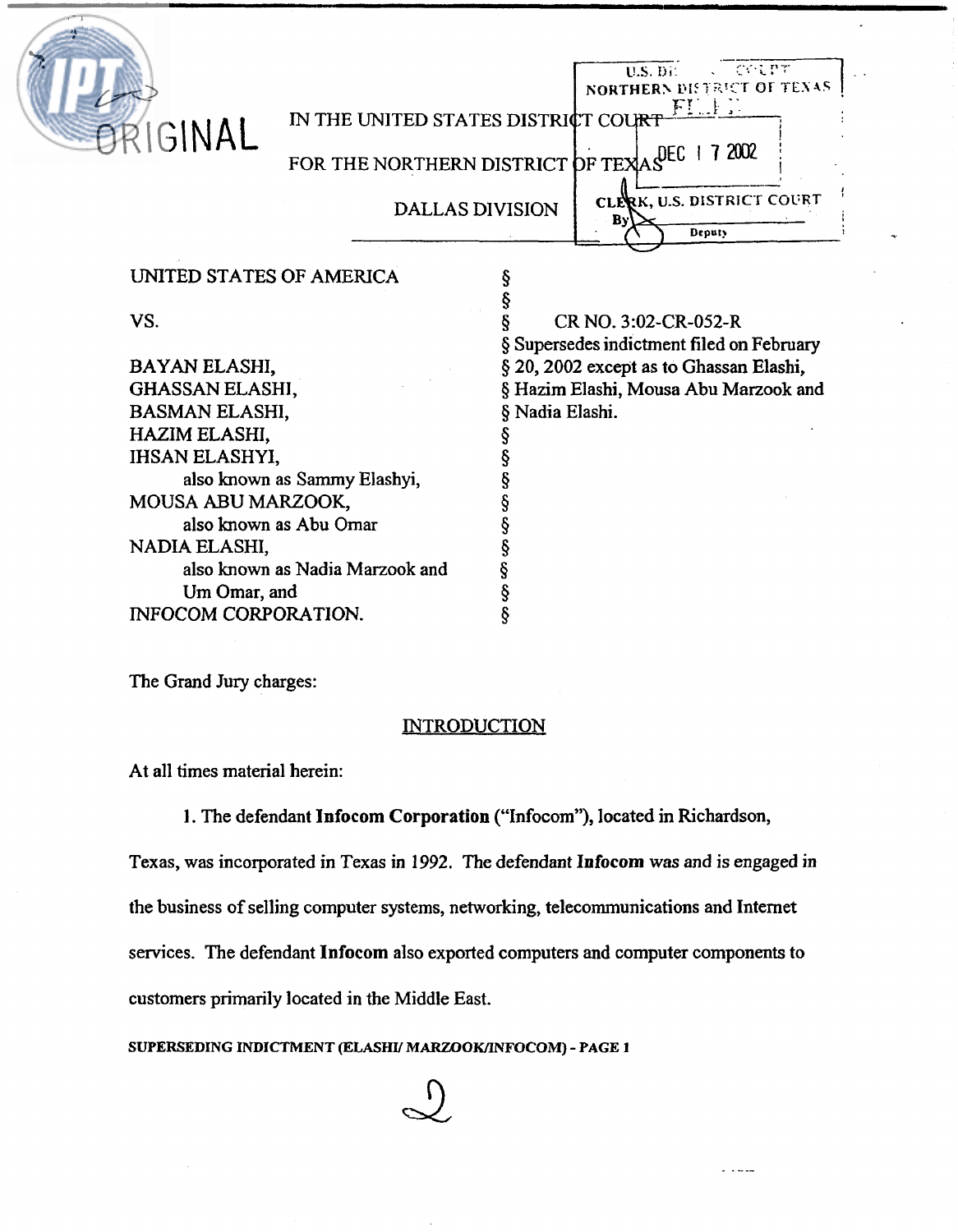| PRIGINAL                    | IN THE UNITED STATES DISTRICT COURT<br>FOR THE NORTHERN DISTRICT OF TEXASEC 17 2002 | <b>DALLAS DIVISION</b> | COLPT<br>$U.S.$ Di<br>NORTHERN DISTRICT OF TEXAS<br><b>FILLE</b><br>CLERK, U.S. DISTRICT COURT<br>By'<br>Deputy |
|-----------------------------|-------------------------------------------------------------------------------------|------------------------|-----------------------------------------------------------------------------------------------------------------|
| UNITED STATES OF AMERICA    |                                                                                     |                        |                                                                                                                 |
| VS.                         |                                                                                     |                        | CR NO. 3:02-CR-052-R<br>§ Supersedes indictment filed on February                                               |
| BAYAN ELASHI,               |                                                                                     |                        | § 20, 2002 except as to Ghassan Elashi,                                                                         |
| <b>GHASSAN ELASHI,</b>      |                                                                                     |                        | § Hazim Elashi, Mousa Abu Marzook and                                                                           |
| <b>BASMAN ELASHI,</b>       |                                                                                     | § Nadia Elashi.        |                                                                                                                 |
| HAZIM ELASHI,               |                                                                                     |                        |                                                                                                                 |
| <b>IHSAN ELASHYI,</b>       |                                                                                     |                        |                                                                                                                 |
|                             | also known as Sammy Elashyi,                                                        |                        |                                                                                                                 |
| MOUSA ABU MARZOOK,          |                                                                                     |                        |                                                                                                                 |
|                             | also known as Abu Omar                                                              |                        |                                                                                                                 |
| NADIA ELASHI,               | also known as Nadia Marzook and                                                     |                        |                                                                                                                 |
| Um Omar, and                |                                                                                     | Ş                      |                                                                                                                 |
| <b>INFOCOM CORPORATION.</b> |                                                                                     |                        |                                                                                                                 |
|                             |                                                                                     |                        |                                                                                                                 |

The Grand Jury charges:

### **INTRODUCTION**

At all times material herein:

1. The defendant **Infocom Corporation** ("Infocom"), located **in** Richardson,

Texas, was incorporated in Texas in 1992. The defendant **Infocom** was and **is** engaged in the business of selling computer systems, networking, telecommunications and Internet services. The defendant **Infocom** also exported computers and computer components to customers primarily located in the Middle East.

 $\sim$   $\sim$   $\sim$   $\sim$ 

**SUPERSEDING INDICTMENT (ELASHU MARZOOKLINFOCOM)** - **PAGE 1** 

 $\bigcup$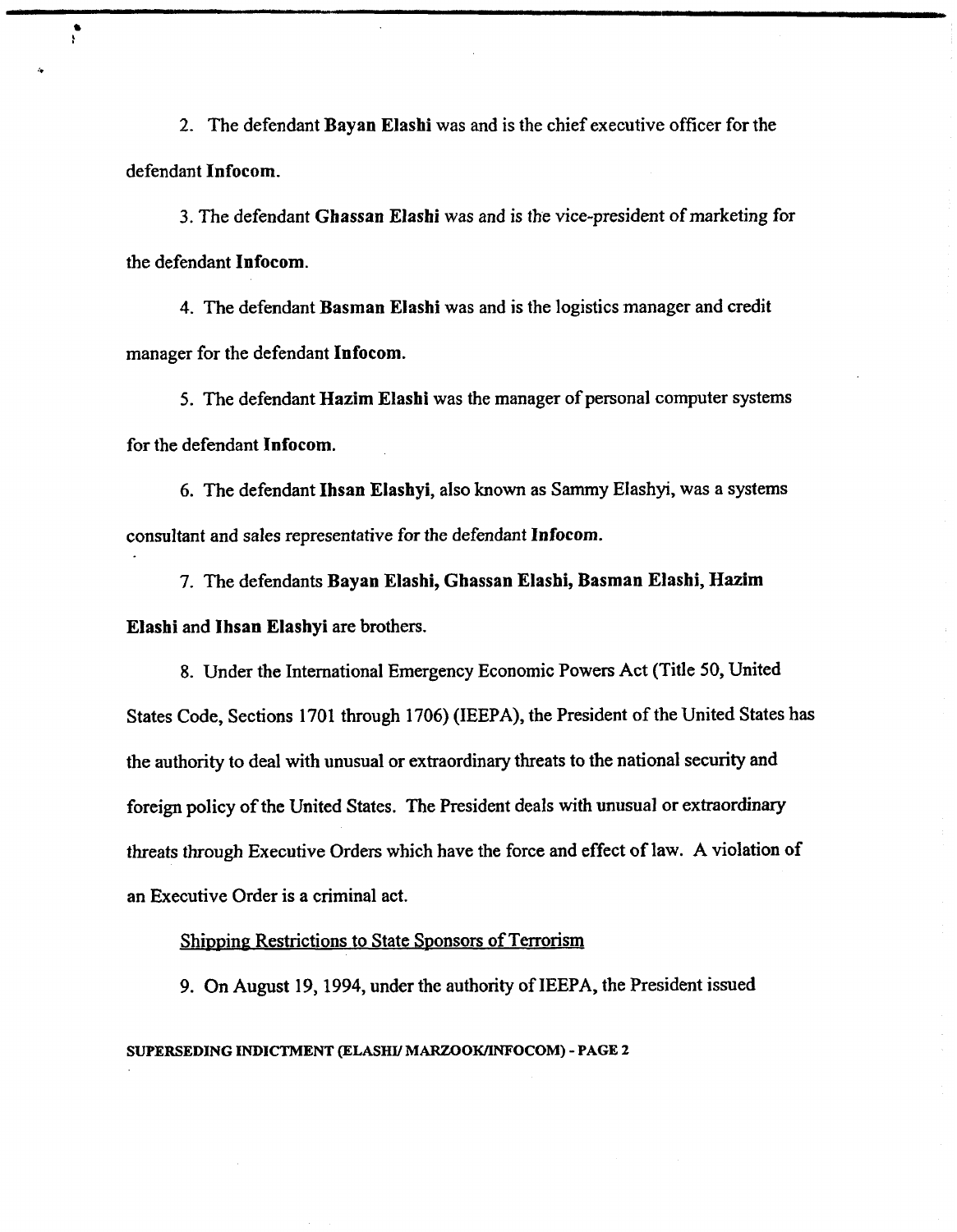2. The defendant **Bayan Elashi** was and is the chief executive officer for the defendant **Infocom.** 

3. The defendant **Ghassan Elashi** was and is the vice-president of marketing for the defendant **Infocom.** 

4. The defendant **Basman Elashi** was and is the logistics manager and credit manager for the defendant **Infocom.** 

5. The defendant **Hazim Elashl** was the manager of personal computer systems for the defendant **Infocom.** 

6. The defendant **Ihsan Elashyi,** also known as Sammy EIashyl, was a systems consultant and sales representative for the defendant **Infocom.** 

7. The defendants **Bayan Elashi, Ghassan Elashi, Basman Elashi, Hazim Elashi** and **Ihsan Elashyi** are brothers.

8. Under the International Emergency Economic Powers Act (Title 50, United States Code, Sections 1701 through 1706) **(IEEPA),** the President of the United States has the authority to deal with unusual or extraordinary threats to the national security and foreign policy of the United States. The President deals with unusual or extraordinary threats through Executive Orders which have the force and effect of law. A violation of an Executive Order is a criminal act.

Shipping Restrictions to State Sponsors of Terrorism

9. On August 19, 1994, under the authority of **IEEPA,** the President issued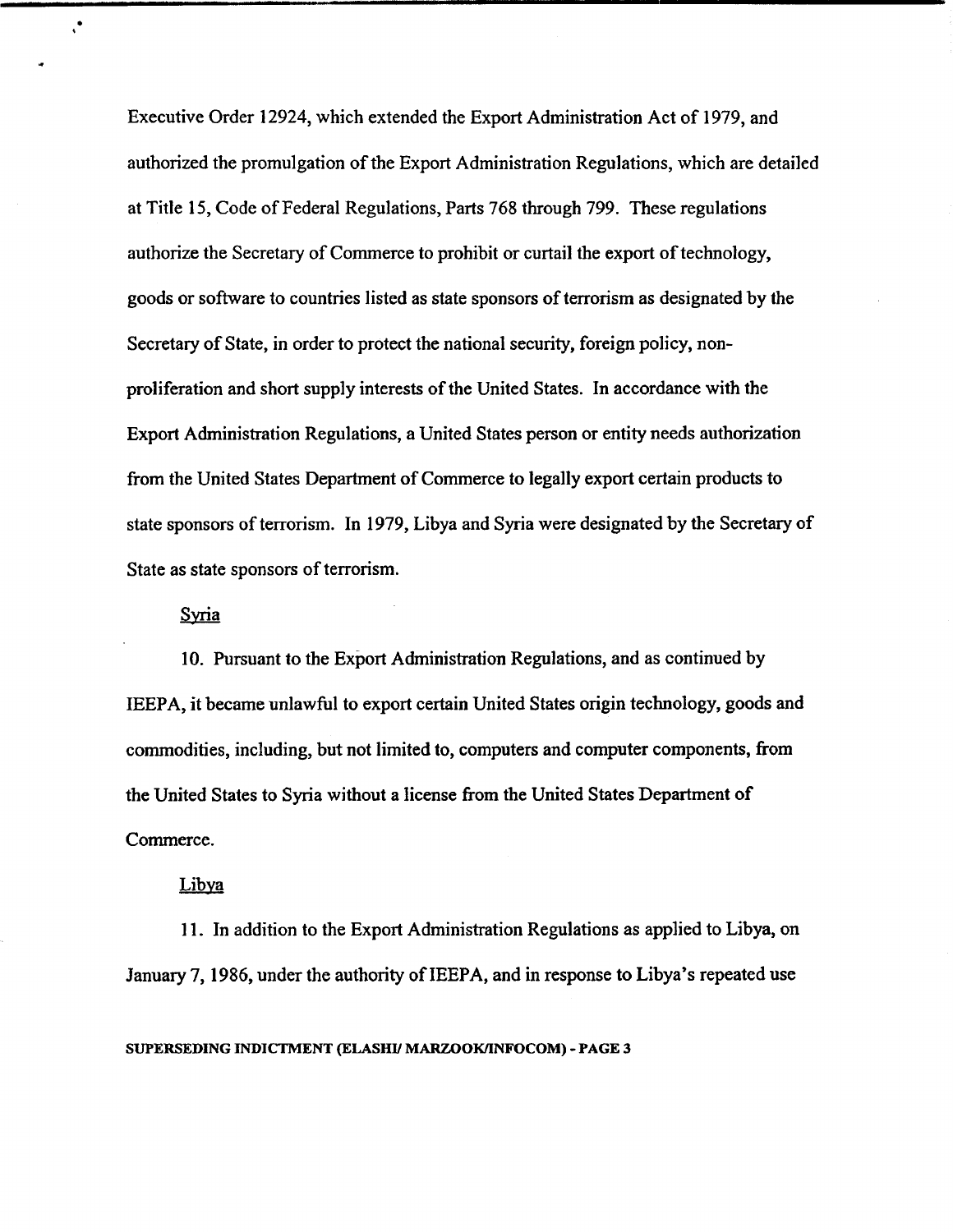Executive Order 12924, which extended the Export Administration Act of 1979, and authorized the promulgation of the Export Administration Regulations, which are detailed at Title 15, Code of Federal Regulations, Parts 768 through 799. These regulations authorize the Secretary of Commerce to prohibit or curtail the export of technology, goods or software to countries listed as state sponsors of terrorism as designated by the Secretary of State, in order to protect the national security, foreign policy, nonproliferation and short supply interests of the United States. In accordance with the Export Administration Regulations, a United States person or entity needs authorization from the United States Department of Commerce to legally export certain products to state sponsors of terrorism. In 1979, Libya and Syria were designated by the Secretary of State as state sponsors of terrorism.

### Syria

 $\ddot{\phantom{0}}$ 

10. Pursuant to the Export Administration Regulations, and as continued by IEEPA, it became unlawful to export certain United States origin technology, goods and commodities, including, but not limited to, computers and computer components, from the United States to Syria without a license from the United States Department of Commerce.

### Libya

**1 1.** In addition to the Export Administration Regulations as applied to Libya, on January 7,1986, under the authority of IEEPA, and in response to Libya's repeated use

**SUPERSEDING mTCTMENT (ELASHV MARZOOKIINFOCOM)** - **PAGE 3**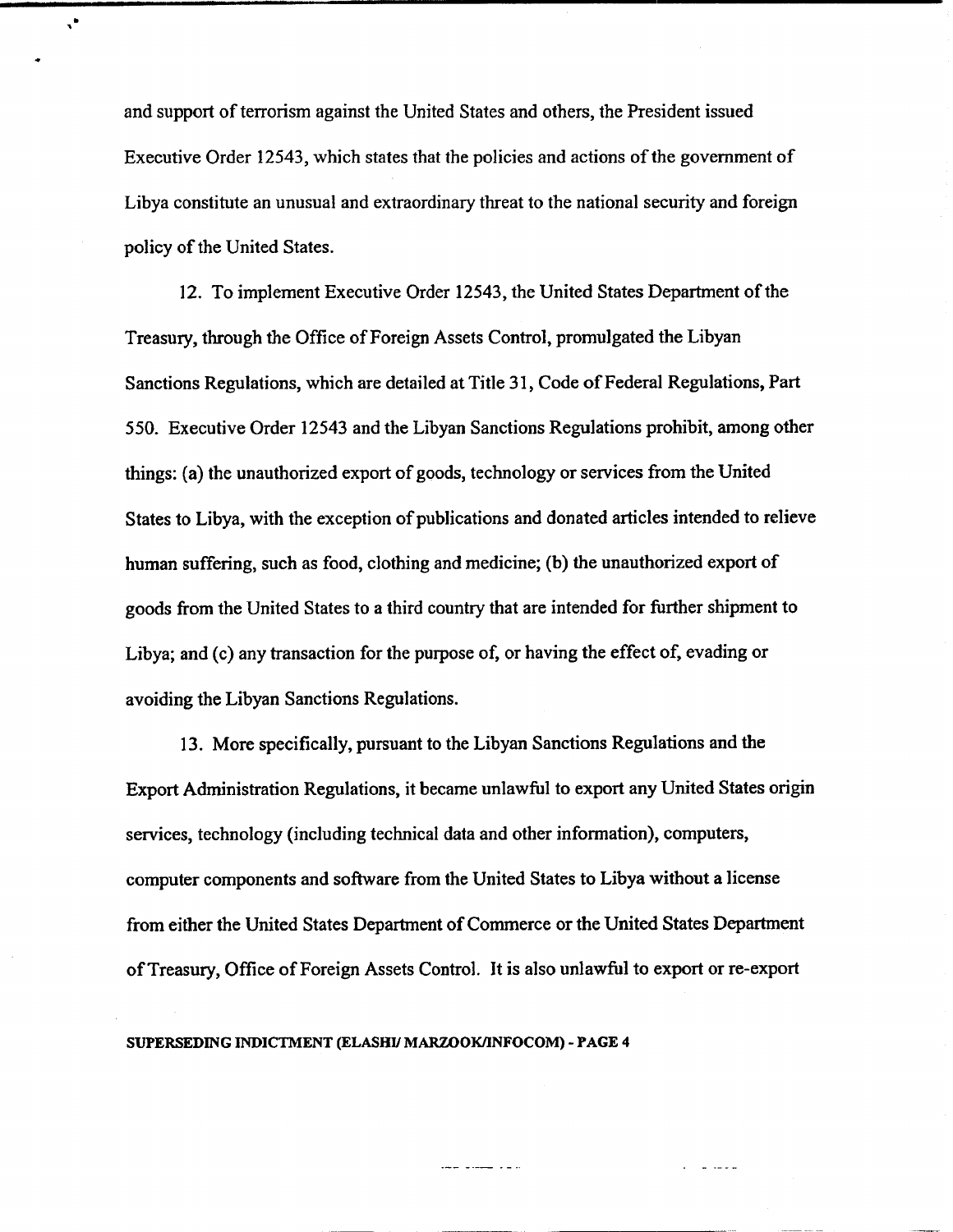and support of terrorism against the United States and others, the President issued Executive Order 12543, which states that the policies and actions of the government of Libya constitute an unusual and extraordinary threat to the national security and foreign policy of the United States.

 $\mathbf{v}^{\bullet}$ 

12. To implement Executive Order 12543, the United States Department of the Treasury, through the Office of Foreign Assets Control, promulgated the Libyan Sanctions Regulations, which are detailed at Title 31, Code of Federal Regulations, Part 550. Executive Order 12543 and the Libyan Sanctions Regulations prohibit, among other things: (a) the unauthorized export of goods, technology or services from the United States to Libya, with the exception of publications and donated articles intended to relieve human suffering, such as food, clothing and medicine; (b) the unauthorized export of goods from the United States to a third country that are intended for further shipment to Libya; and (c) any transaction for the purpose of, or having the effect of, evading or avoiding the Libyan Sanctions Regulations.

13. More specifically, pursuant to the Libyan Sanctions Regulations and the Export Administration Regulations, it became unlawful to export any United States origin services, technology (including technical data and other information), computers, computer components and software from the United States to Libya without a license from either the United States Department of Commerce or the United States Department of Treasury, Office of Foreign Assets Control. It is also unlawful to export or re-export

-- ---- -*-*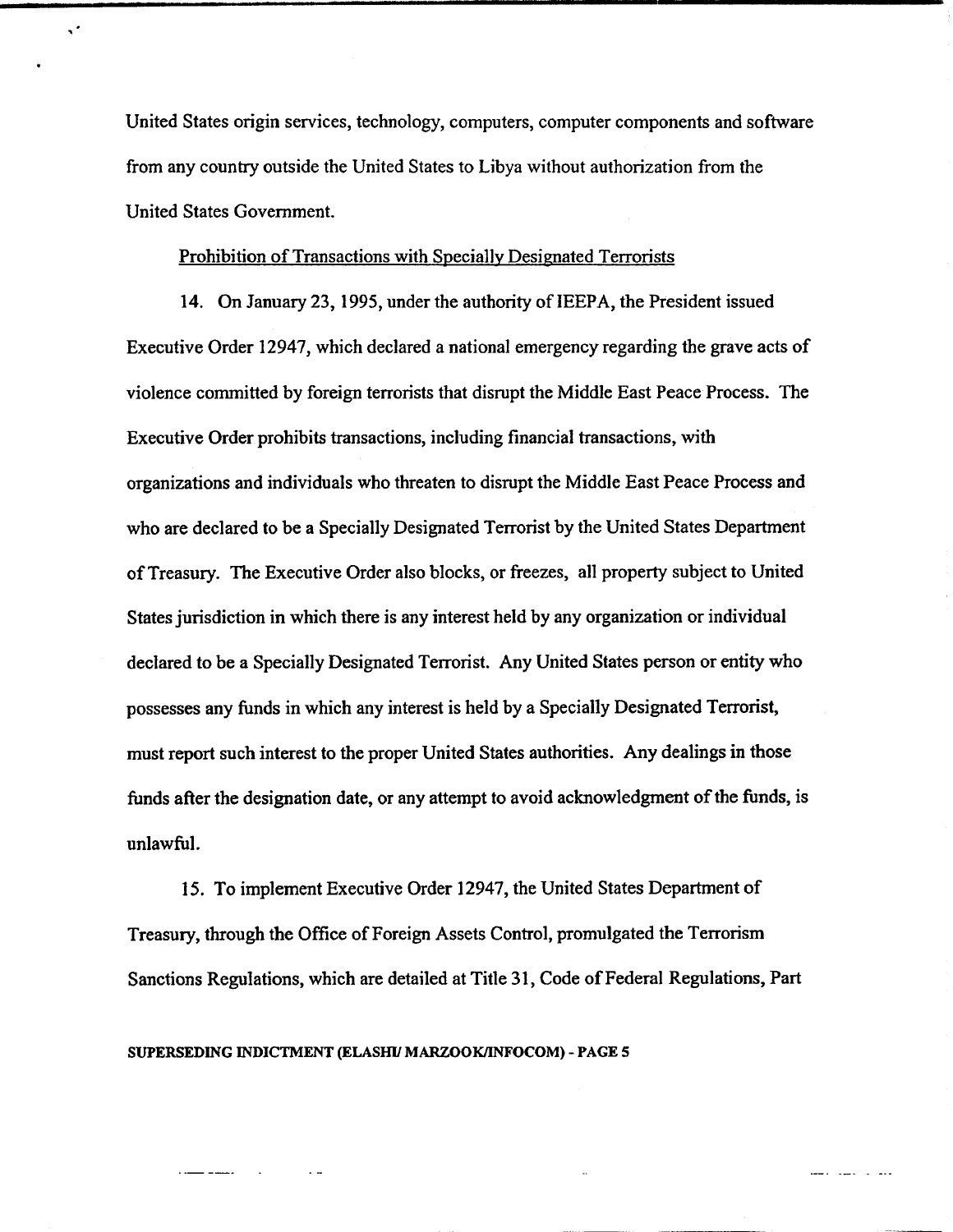United States origin services, technology, computers, computer components and software from any country outside the United States to Libya without authorization from the United States Government.

### Prohibition of Transactions with Specially Designated Terrorists

 $\boldsymbol{\varsigma}^{\star}$ 

14. On January 23,1995, under the authority of IEEPA, the President issued Executive Order 12947, which declared a national emergency regarding the grave acts of violence committed by foreign terrorists that disrupt the Middle East Peace Process. The Executive Order prohibits transactions, including financial transactions, with organizations and individuals who threaten to disrupt the Middle East Peace Process and who are declared to be a Specially Designated Terrorist by the United States Department of Treasury. The Executive Order also blocks, or fieezes, all property subject to United States jurisdiction in which there is any interest held by any organization or individual declared to be a Specially Designated Terrorist. Any United States person or entity who possesses any funds in which any interest is held by a Specially Designated Terrorist, must report such interest to the proper United States authorities. Any dealings in those funds after the designation date, or any attempt to avoid acknowledgment of the funds, is unlawful.

15. To implement Executive Order 12947, the United States Department of Treasury, through the Office of Foreign Assets Control, promulgated the Terrorism Sanctions Regulations, which are detailed at Title 31, Code of Federal Regulations, Part

 $\frac{1}{2}$ 

SUPERSEDING INDICTMENT (ELASHI/ MARZOOK/INFOCOM) - PAGE 5

 $\sim$   $\sim$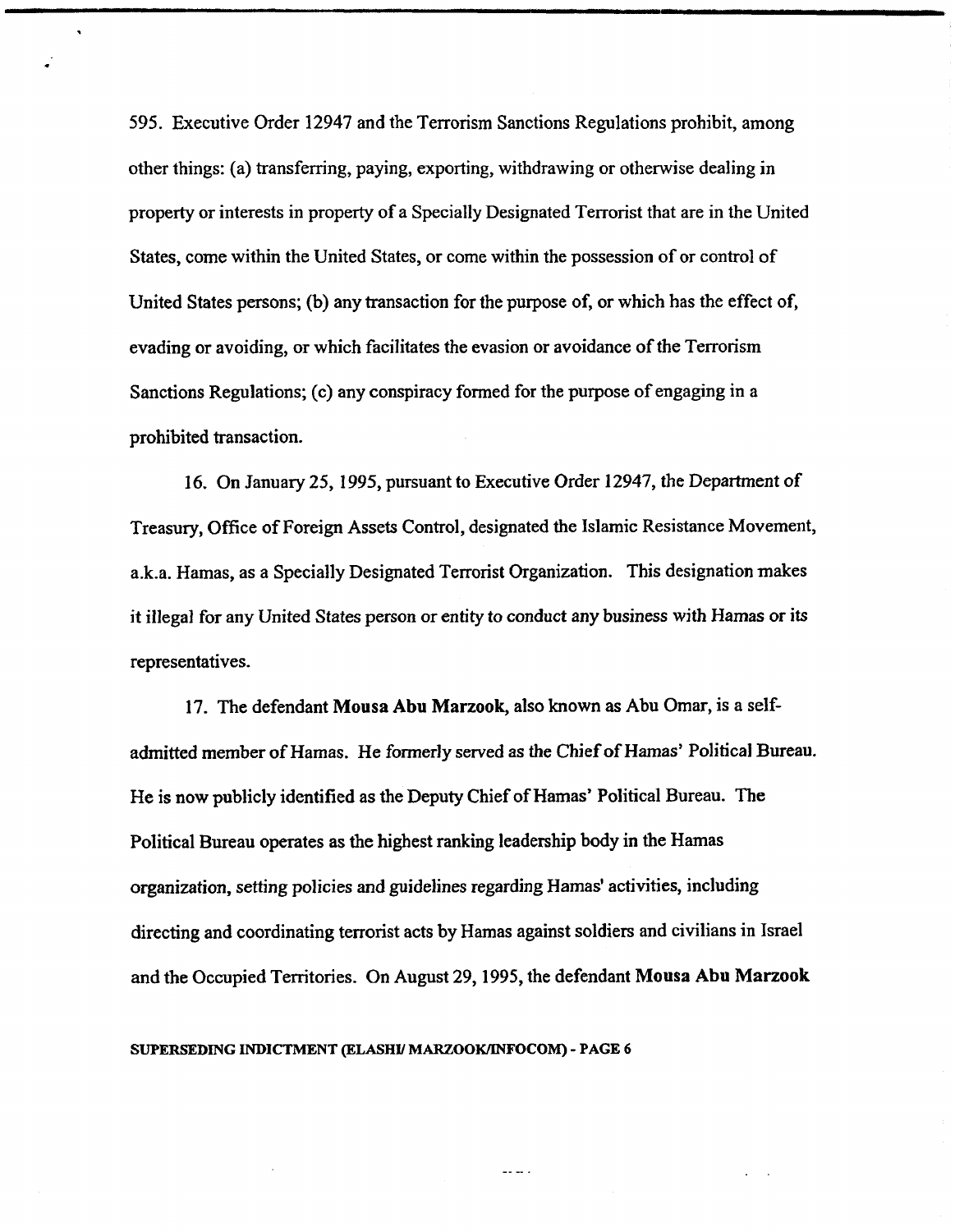595. Executive Order 12947 and the Terrorism Sanctions Regulations prohibit, among other things: (a) transferring, paying, exporting, withdrawing or otherwise dealing in property or interests in property of a Specially Designated Terrorist that are in the United States, come within the United States, or come within the possession of or control of United States persons; (b) any transaction for the purpose of, or which has the effect of, evading or avoiding, or which facilitates the evasion or avoidance of the Terrorism Sanctions Regulations; (c) any conspiracy formed for the purpose of engaging in a prohibited transaction.

16. On January 25, 1995, pursuant to Executive Order 12947, the Department of Treasury, Office of Foreign Assets Control, designated the Islamic Resistance Movement, a.k.a. Hamas, as a Specially Designated Terrorist Organization. This designation makes it illegal for any United States person or entity to conduct any business with Hamas or its representatives.

17. The defendant Mousa Abu Marzook, also known as Abu Omar, is a selfadmitted member of Hamas. He formerly served as the Chief of Hamas' Political Bureau. He is now publicly identified as the Deputy Chief of Hamas' Political Bureau. The Political Bureau operates as the highest ranking leadership body in the Hamas organization, setting policies and guidelines regarding Hamas' activities, including directing and coordinating terrorist acts by Hamas against soldiers and civilians in Israel and the Occupied Territories. On August 29,1995, the defendant Mousa Abu Marzook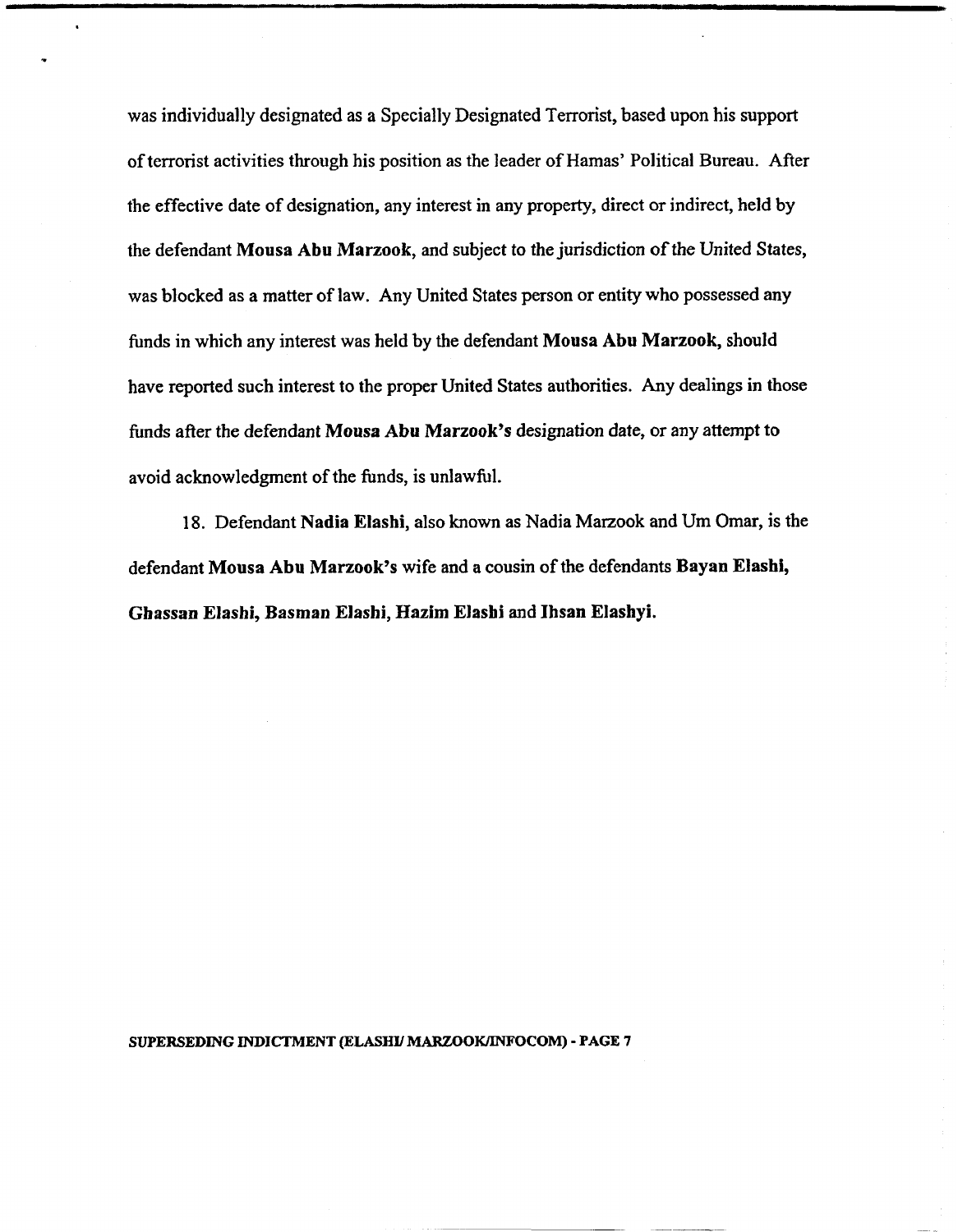was individually designated as a Specially Designated Terrorist, based upon his support of terrorist activities through his position as the leader of Hamas' Political Bureau. After the effective date of designation, any interest in any property, direct or indirect, held by the defendant Mousa Abu Marzook, and subject to the jurisdiction of the United States, was blocked as a matter of law. Any United States person or entity who possessed **any**  funds in which any interest was held by the defendant Mousa Abu Marzook, should have reported such interest to the proper United States authorities. Any dealings in those funds after the defendant Mousa Abu Marzook's designation date, or **any** attempt to avoid acknowledgment of the funds, is unlawful.

18. Defendant Nadia Elashi, also **known** as Nadia Marzook and Um Omar, is the defendant Mousa Abu Marzook's wife and a cousin of the defendants **Bayan** Elashi, Ghassan Elashi, Basman Elashi, Hazim Elasbi and Ihsan Elashyi.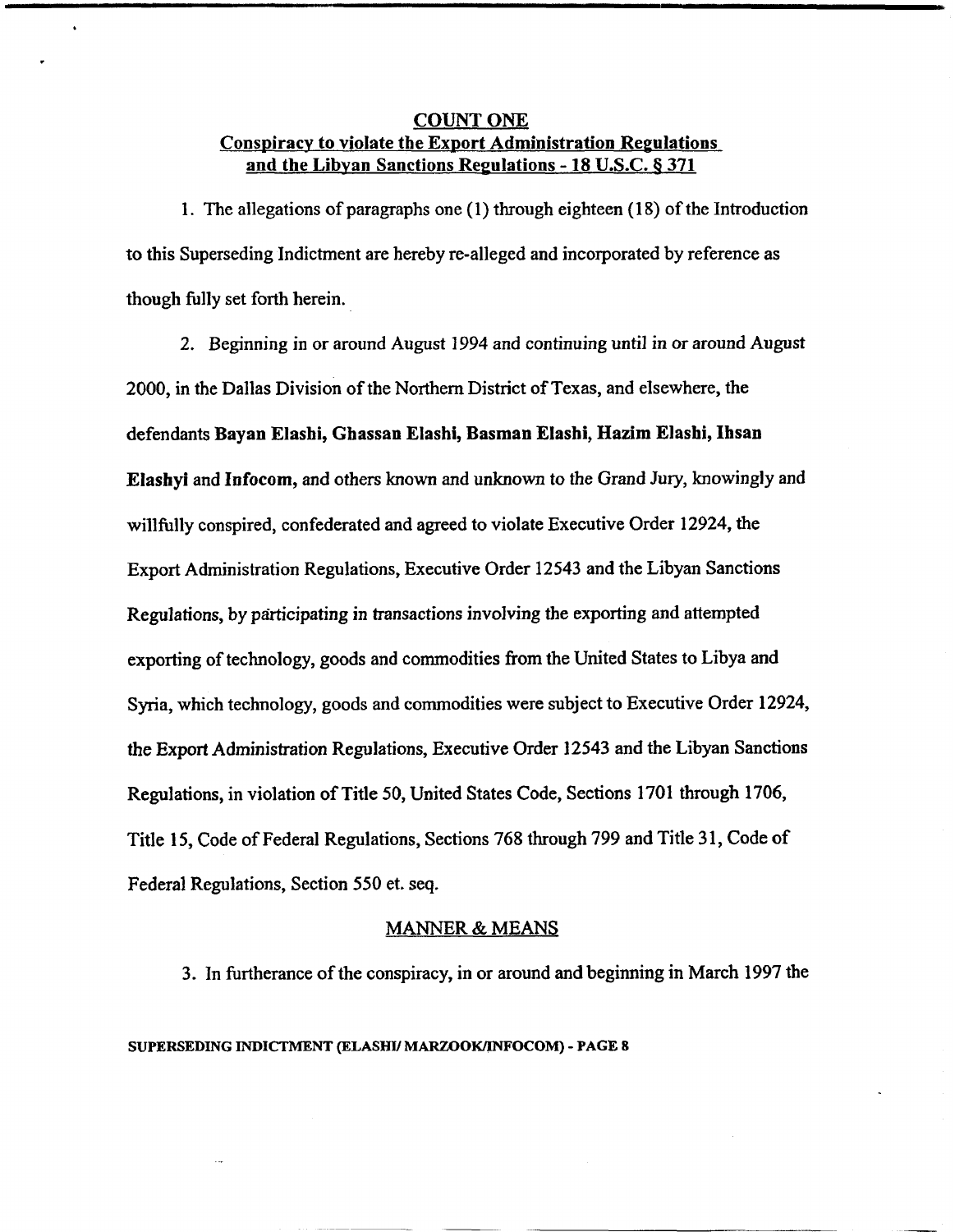## **COUNT ONE** Conspiracy to violate the Export Administration Regulations and the Libvan Sanctions Repulations - 18 **U.S.C. 6 371**

1. The allegations of paragraphs one (1) through eighteen (18) of the Introduction to this Superseding Indictment are hereby re-alleged and incorporated by reference as though filly set forth herein.

2. Beginning in or around August 1994 and continuing until in or around August 2000, in the Dallas Division of the Northern District of Texas, and elsewhere, the defendants Bayan Elashi, Ghassan Elashi, Basman Elashi, Hazim Elashi, Ihsan Elashyi and Infocorn, and others known and unknown to the Grand Jury, knowingly and willfully conspired, confederated and agreed to violate Executive Order 12924, the Export Administration Regulations, Executive Order 12543 and the Libyan Sanctions Regulations, by participating in transactions involving the exporting and attempted exporting of technology, goods and commodities from the United States to Libya and Syria, which technology, goods and commodities were subject to Executive Order 12924, the Export Administration Regulations, Executive Order 12543 and the Libyan Sanctions Regulations, in violation of Title 50, United States Code, Sections 1701 through 1706, Title 15, Code of Federal Regulations, Sections 768 through 799 and Title 31, Code of Federal Regulations, Section 550 et. seq.

#### MANNER & MEANS

3. In furtherance of the conspiracy, in or around and beginning in March 1997 the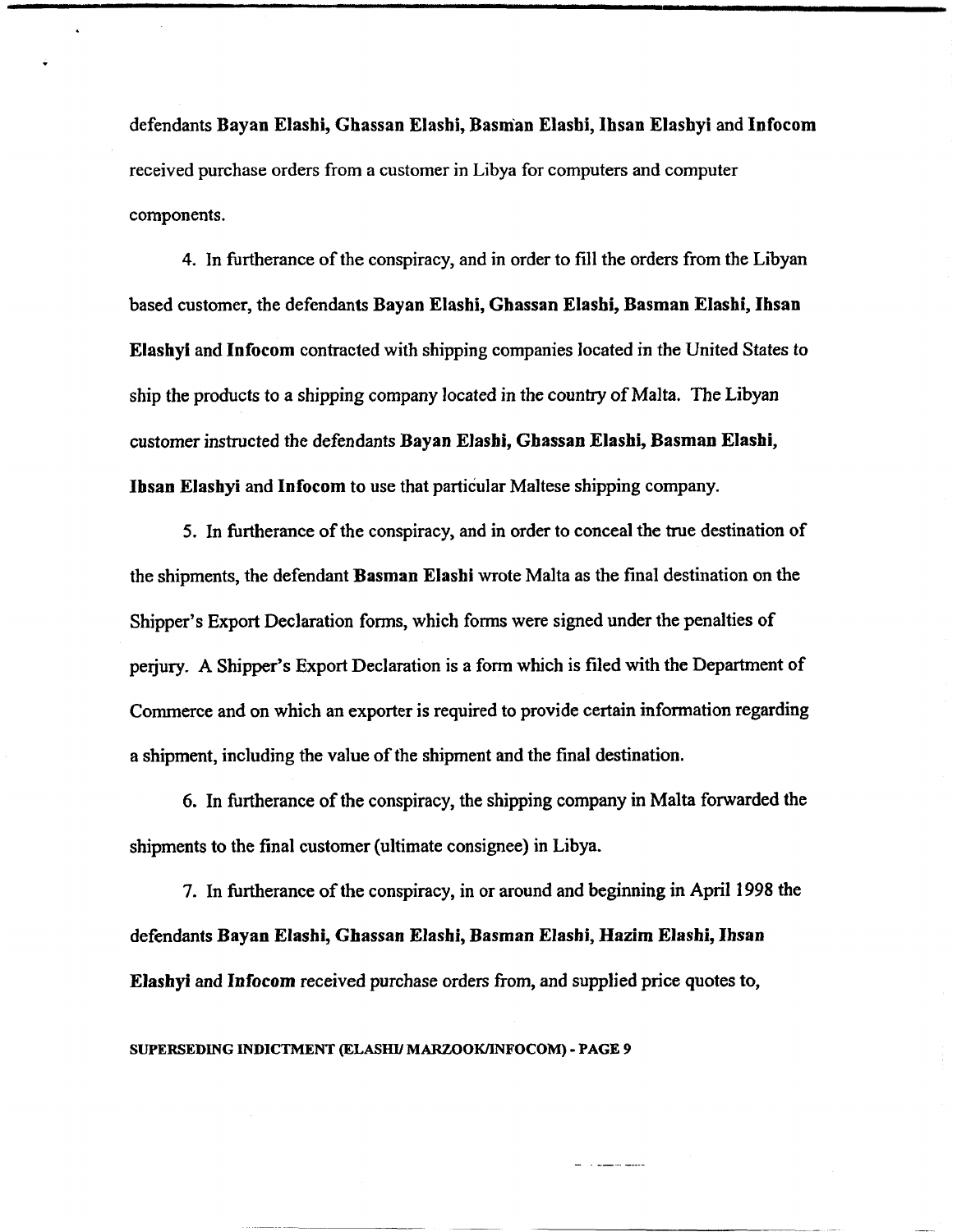defendants **Bayan Elashi, Ghassan Elashi, Basman Elashi, Ihsan Elashyi** and **Infocom**  received purchase orders from a customer in Libya for computers and computer components.

4. In fintherance of the conspiracy, and in order to fill the orders from the Libyan based customer, the defendants **Bayan Elashi, Ghassan Elashi, Basman Elashi, Ihsan Elashyi** and **Infocom** contracted with shipping companies located in the United States to ship the products to a shipping company located in the country of Malta. The Libyan customer instructed the defendants **Bayan Elashi, Ghassan Elashi, Basman Elashi, Ibsan Elashyi** and **Infocom** to use that particular Maltese shipping company.

5. In furtherance of the conspiracy, and in order to conceal the true destination of the shipments, the defendant **Basman Elashi** wrote Malta as the final destination on the Shipper's Export Declaration forms, which forms were signed under the penalties of perjury. A Shipper's Export Declaration is a form which is filed with the Department of Commerce and on which an exporter is required to provide certain information regarding a shipment, including the value of the shipment and the final destination.

6. In furtherance of the conspiracy, the shipping company in Malta forwarded the shipments to the final customer (ultimate consignee) in Libya.

7. In hrtherance of the conspiracy, in or around and beginning in April **1998** the defendants **Bayan Elashi, Ghassan Elashi, Basman Elashi, Hazim Elashi, Ihsan Elashyi** and **Infocom** received purchase orders from, and supplied price quotes to,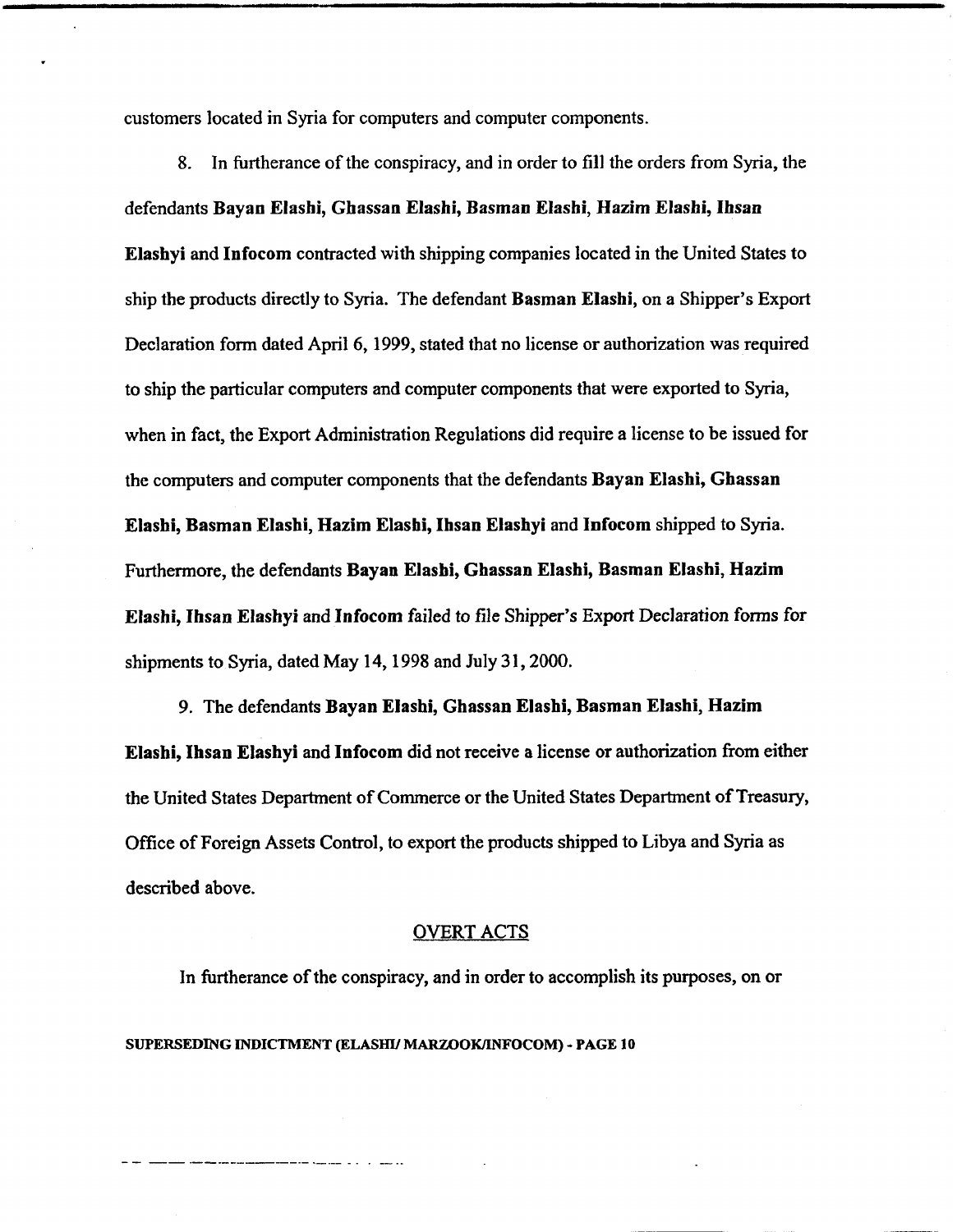customers located in Syria for computers and computer components.

**8.** In furtherance of the conspiracy, and in order to fill the orders from Syria, the defendants Bayan Elashi, Ghassan Elashi, Basman Elashi, Hazim Elasbi, Ihsan Elashyi and Infocom contracted with shipping companies located in the United States to ship the products directly to Syria. The defendant Basman Elashi, on a Shipper's Export Declaration form dated April 6, 1999, stated that no license or authorization was required to ship the particular computers and computer components that were exported to Syria, when in fact, the Export Administration Regulations did require a license to be issued for the computers and computer components that the defendants Bayan Elashi, Ghassan Elashi, Basman Elashi, Hazim Elashi, Ihsan Elashyi and Infocom shipped to Syria. Furthermore, the defendants Bayan Elasbi, Ghassan Elashi, Basman Elashi, Hazim Elashi, Ihsan Elashyi and Infocom failed to file Shipper's Export Declaration forms for shipments to Syria, dated May 14, 1998 and July 31, 2000.

9. The defendants Bayan Elashi, Ghassan Elashi, Basman Elashi, Hazim Elashi, Ihsan Elashyi and Infocom did not receive a license or authorization from either the United States Department of Commerce or the United States Department of Treasury, Office of Foreign Assets Control, to export the products shipped to Libya and Syria as described above.

#### **OVERT** ACTS

In furtherance of the conspiracy, and in order to accomplish its purposes, on or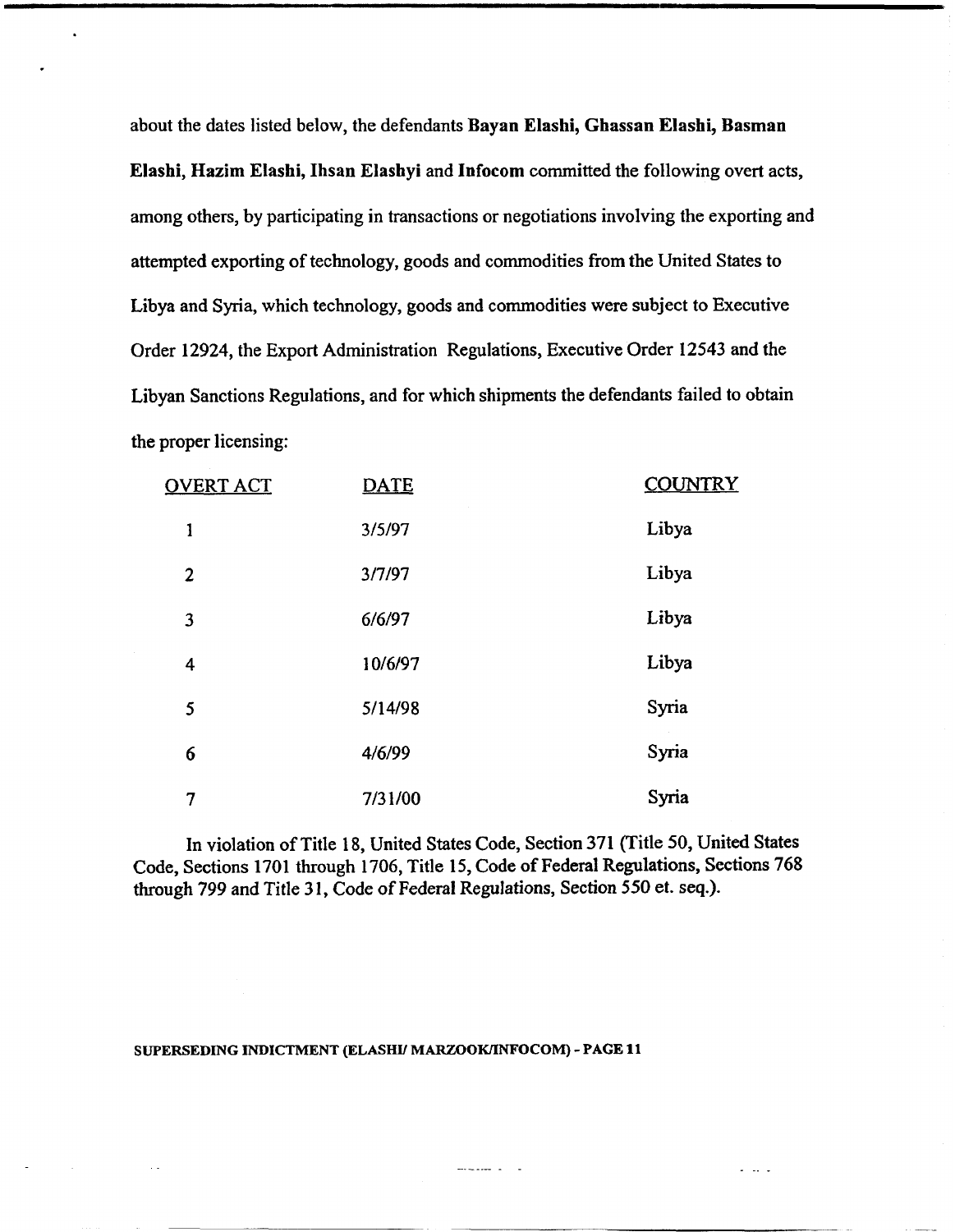about the dates listed below, the defendants Bayan Elashi, Ghassan Elashi, Basman Elashi, Hazim Elashi, Ihsan Elashyi and Infocom committed the following overt acts, among others, by participating in transactions or negotiations involving the exporting and attempted exporting of technology, goods and commodities from the United States to Libya and Syria, which technology, goods and commodities were subject to Executive Order 12924, the Export Administration Regulations, Executive Order **12543** and the Libyan Sanctions Regulations, and for which shipments the defendants failed to obtain the proper licensing:

| <u>OVERT ACT</u> | <b>DATE</b> | <b>COUNTRY</b> |
|------------------|-------------|----------------|
| 1                | 3/5/97      | Libya          |
| $\overline{2}$   | 3/7/97      | Libya          |
| 3                | 6/6/97      | Libya          |
| 4                | 10/6/97     | Libya          |
| 5                | 5/14/98     | Syria          |
| 6                | 4/6/99      | Syria          |
| 7                | 7/31/00     | Syria          |

In violation of Title 18, United States Code, Section 371 (Title 50, United States Code, Sections 1701 through 1706, Title 15, Code of Federal Regulations, Sections 768 through 799 and Title **3 1,** Code of Federal Regulations, Section 550 et. seq.).

 $\frac{1}{2}$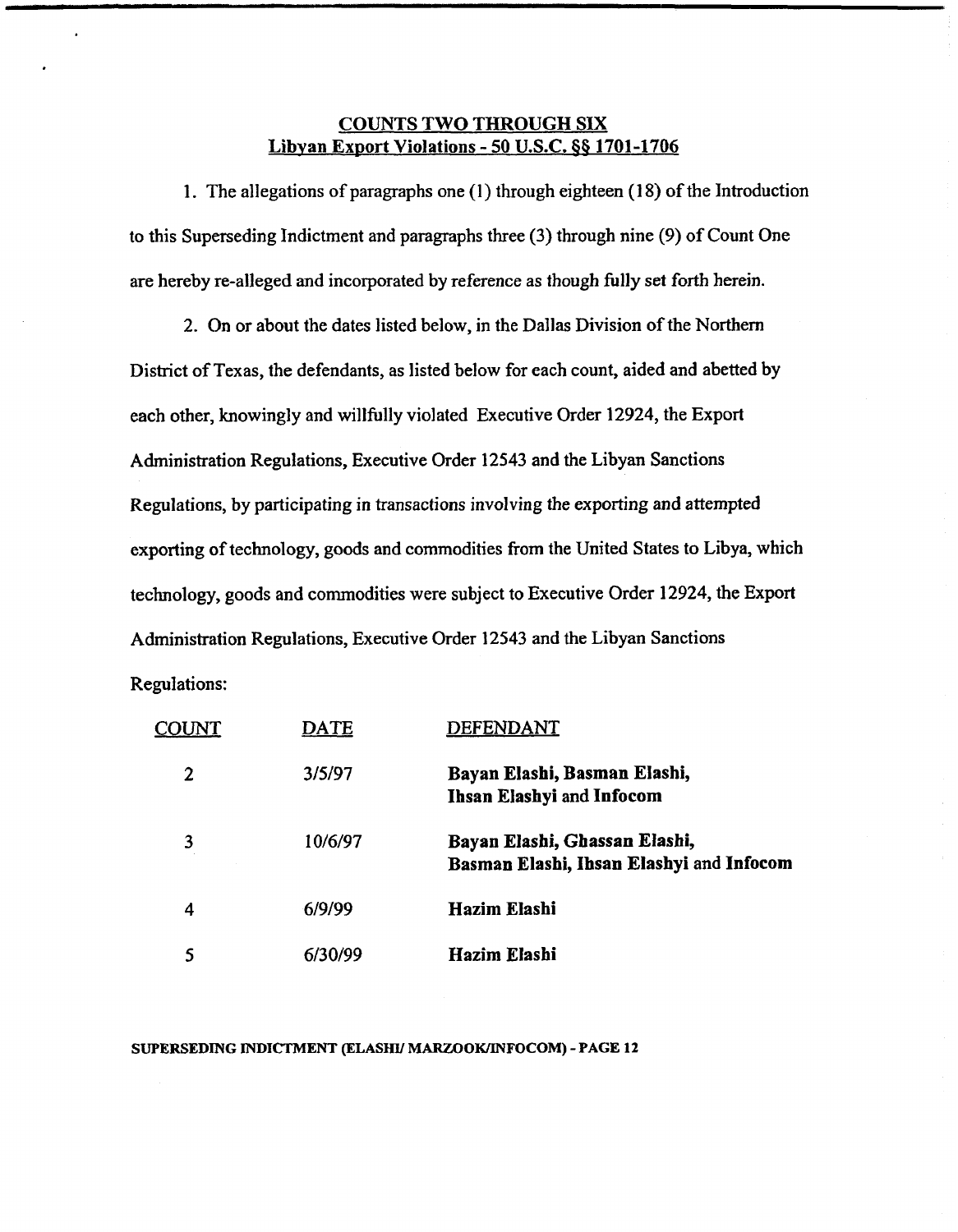## **COUNTS TWO THROUGH SIX Libvan Export Violations** - **50 U.S.C. 66 1701-1706**

1. The allegations of paragraphs one (1) through eighteen (18) of the Introduction to this Superseding Indictment and paragraphs three (3) through nine (9) of Count One are hereby re-alleged and incorporated by reference as though **fully** set forth herein.

2. On or about the dates listed below, in the Dallas Division of the Northern District of Texas, the defendants, as listed below for each count, aided and abetted by each other, knowingly and willfully violated Executive Order 12924, the Export Administration Regulations, Executive Order 12543 and the Libyan Sanctions Regulations, by participating in transactions involving the exporting and attempted exporting of technology, goods and commodities **fiom** the United States to Libya, which technology, goods and commodities were subject to Executive Order 12924, the Export Administration Regulations, Executive Order 12543 and the Libyan Sanctions Regulations:

|   | DATE    | DEFENDANT                                                                 |
|---|---------|---------------------------------------------------------------------------|
| 2 | 3/5/97  | Bayan Elashi, Basman Elashi,<br>Ihsan Elashyi and Infocom                 |
| 3 | 10/6/97 | Bayan Elashi, Ghassan Elashi,<br>Basman Elashi, Ihsan Elashyi and Infocom |
| 4 | 6/9/99  | Hazim Elashi                                                              |
|   | 6/30/99 | Hazim Elashi                                                              |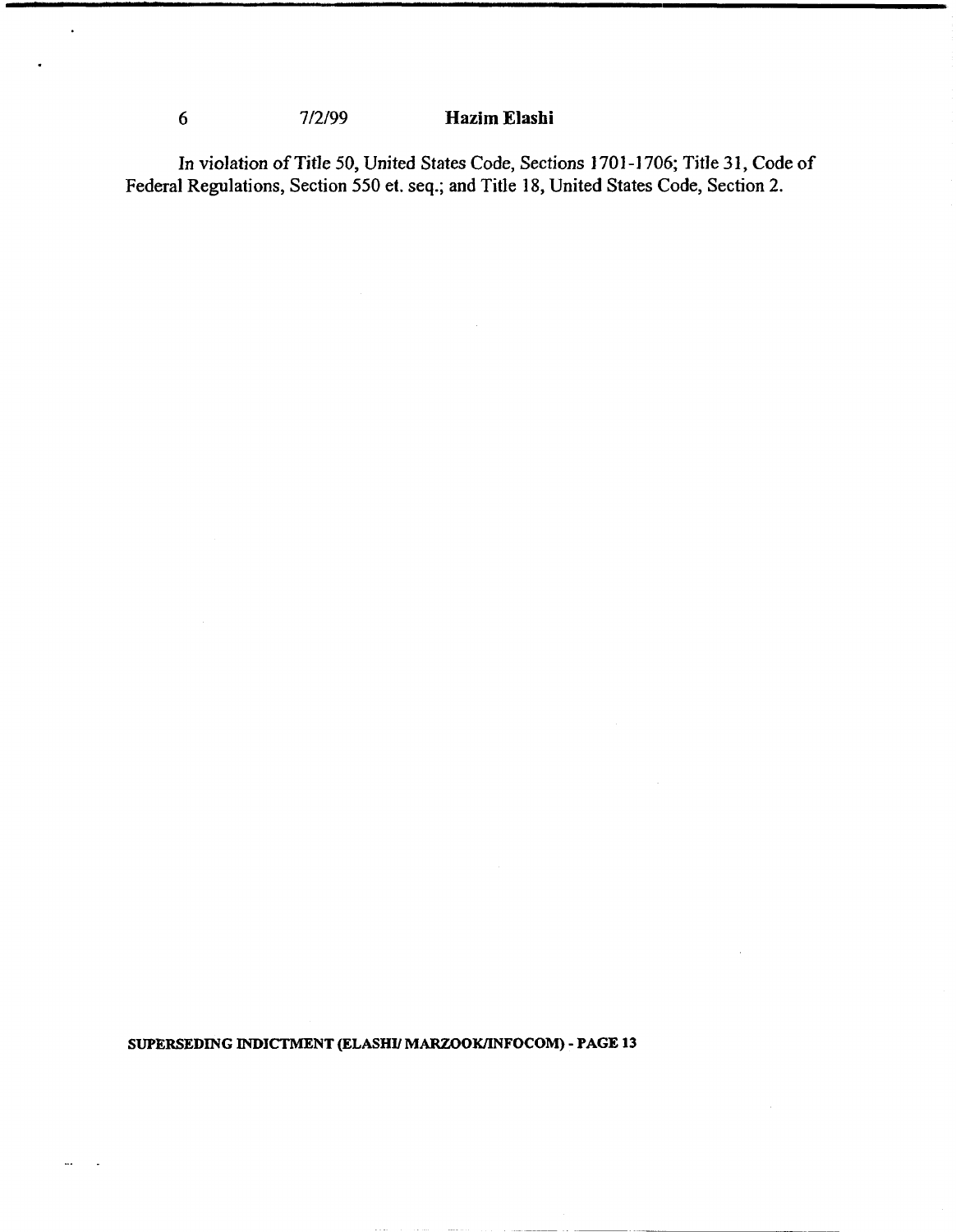# *6* 7/2/99 **Hazim Elashi**

 $\ddot{\phantom{1}}$ 

**In violation of Title 50, United States Code, Sections 1701 -1 706; Title 31, Code of Federal Regulations, Section 550 et. seq.; and Title 18, United States Code, Section 2.**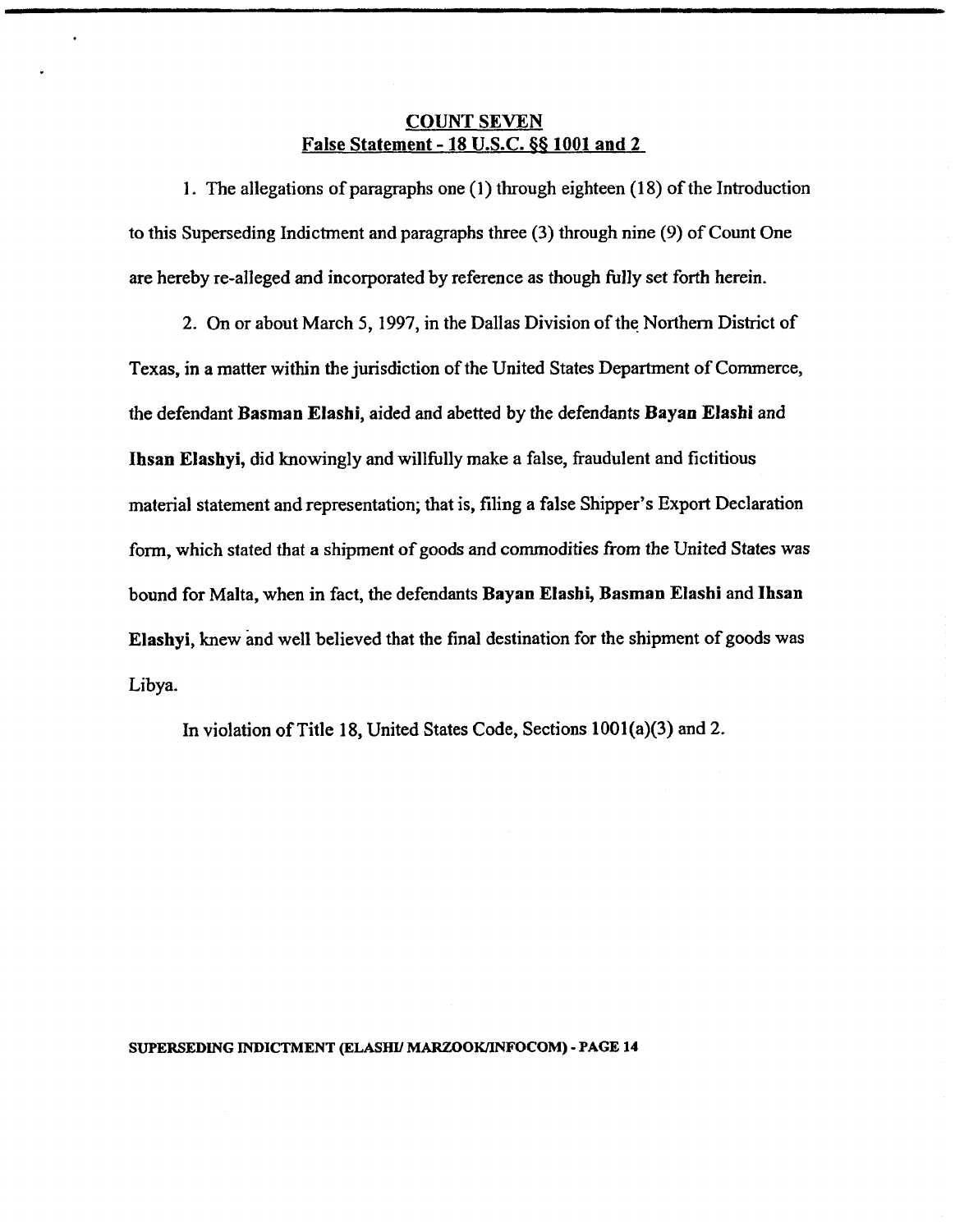## **COUNT SEVEN False Statement** - **18 U.S.C. 66 1001 and 2**

1. The allegations of paragraphs one (1) through eighteen (18) of the Introduction to this Superseding Indictment and paragraphs three (3) through nine (9) of Count One are hereby re-alleged and incorporated by reference as though fully set forth herein.

2. On or about March 5, 1997, in the Dallas Division of the Northern District of Texas, in a matter within the jurisdiction of the United States Department of Commerce, the defendant **Basman Elashi,** aided and abetted by the defendants **Bayan Elashi** and **Ihsan Elashyi,** did knowingly **and** willfully make a false, fraudulent and fictitious material statement and representation; that is, filing a false Shipper's Export Declaration form, which stated that a shipment of goods and commodities from the United States was bound for Malta, when in fact, the defendants **Bayan Elashi, Basman Elashi** and **Ihsan Elashyi,** knew and well believed that the final destination for the shipment of goods was Libya.

In violation of Title 18, United States Code, Sections 1001(a)(3) and 2.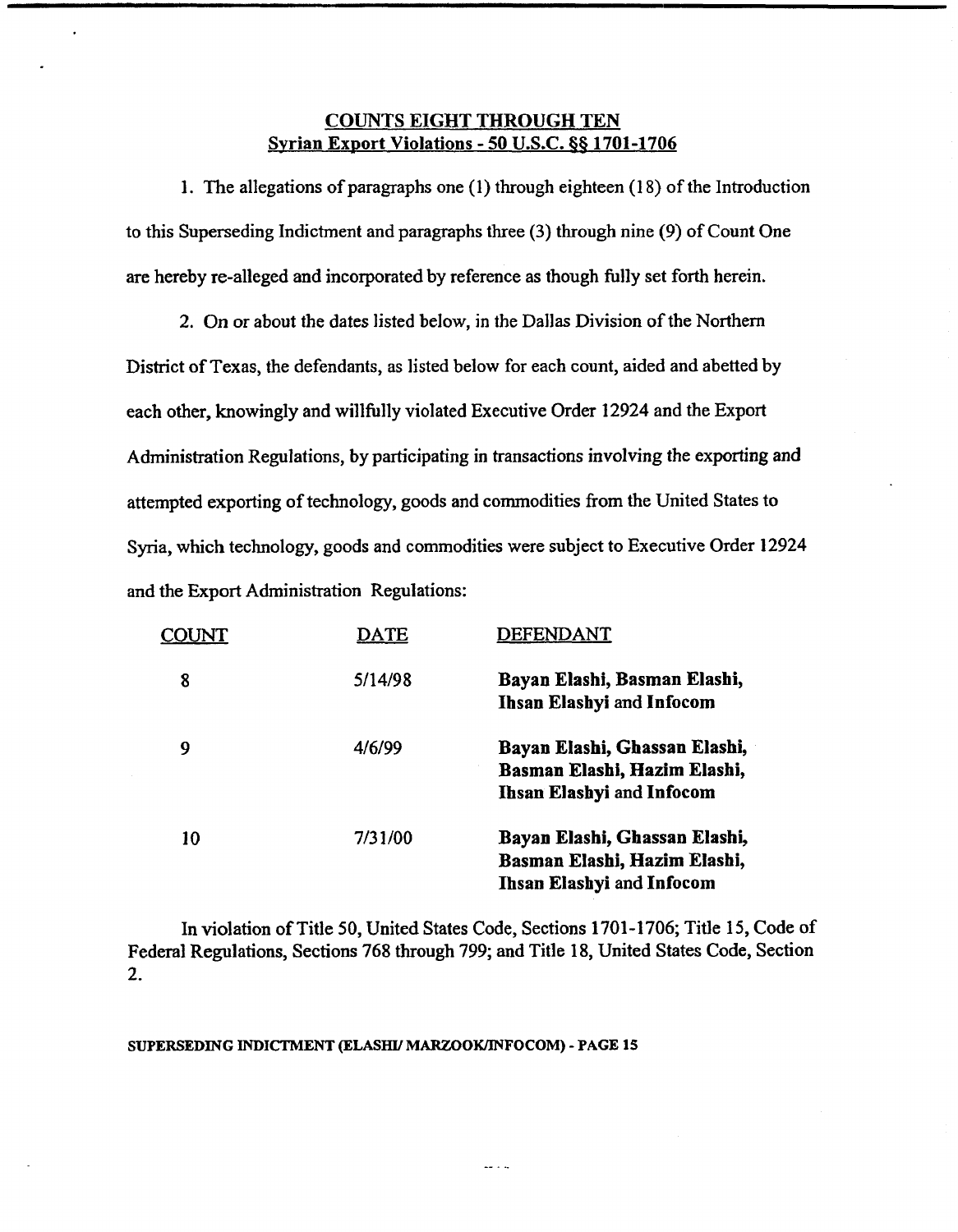## **COUNTS EIGHT THROUGH TEN Syrian Ex~ort Violations** - **50 U.S.C. \$8 1701-1706**

1. The allegations of paragraphs one (1) through eighteen (1 8) of the Introduction to this Superseding Indictment and paragraphs three (3) through nine (9) of Count One are hereby re-alleged and incorporated by reference as though fully set forth herein.

2. On or about the dates listed below, in the Dallas Division of the Northern District of Texas, the defendants, as listed below for each count, aided and abetted by each other, knowingly and willfully violated Executive Order 12924 and the Export Administration Regulations, by participating in transactions involving the exporting and attempted exporting of technology, goods and commodities from the United States to Syria, which technology, goods and commodities were subject to Executive Order 12924 and the Export Administration Regulations:

| COU | DATE    | DEFENDANT                                                                                         |
|-----|---------|---------------------------------------------------------------------------------------------------|
| 8   | 5/14/98 | Bayan Elashi, Basman Elashi,<br>Ihsan Elashyi and Infocom                                         |
| 9   | 4/6/99  | Bayan Elashi, Ghassan Elashi,<br>Basman Elashi, Hazim Elashi,<br>Ihsan Elashyi and Infocom        |
| 10  | 7/31/00 | Bayan Elashi, Ghassan Elashi,<br>Basman Elashi, Hazim Elashi,<br><b>Ihsan Elashyi and Infocom</b> |

In violation of Title 50, United States Code, Sections 1701-1706; Title 15, Code of Federal Regulations, Sections 768 through 799; and Title 18, United States Code, Section 2.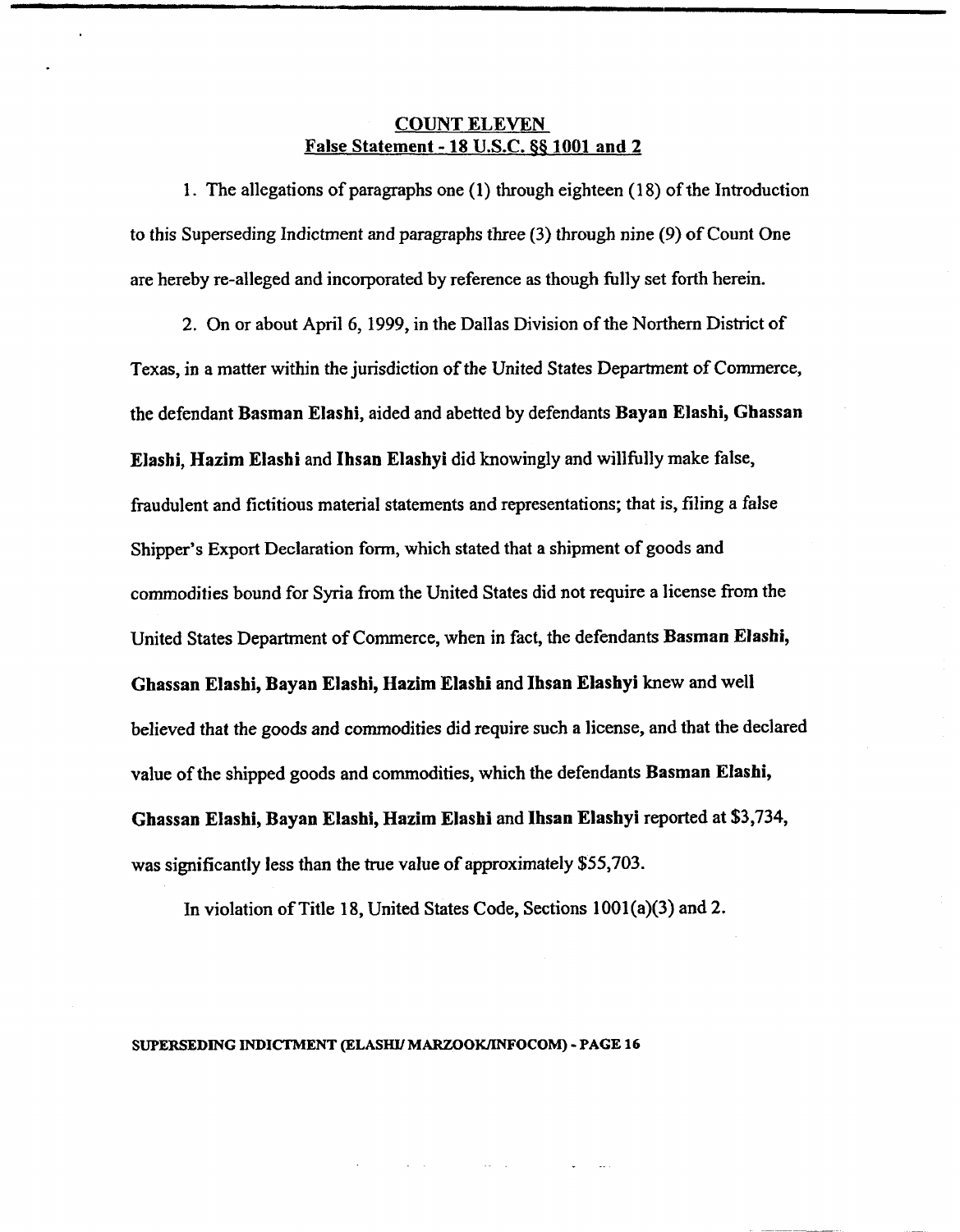## **COUNT ELEVEN False** Statement - **18 U.S.C. 65 1001 and 2**

1. The allegations of paragraphs one (1) through eighteen (18) of the Introduction to this Superseding Indictment and paragraphs three (3) through nine (9) of Count One are hereby re-alleged and incorporated by reference as though fully set forth herein.

2. On or about April 6,1999, in the Dallas Division of the Northern District of Texas, in a matter within the jurisdiction of the United States Department of Commerce, the defendant **Basman Elashi,** aided and abetted by defendants **Bayan Elashi, Ghassan Elashi, Hazim Eiashi** and **Ihsan Elashyi** did knowingly and willfully make false, fraudulent and fictitious material statements and representations; that is, filing a false Shipper's Export Declaration form, which stated that a shipment of goods and commodities bound for Syria from the United States did not require a license from the United States Department of Commerce, when in fact, the defendants **Basman Elashi, Ghassan Elashi, Bayan Elashi, Hazim Elashi** and **Ihsan Elashyi** knew and **well**  believed that the goods and commodities did require such a license, and that the declared value of the shipped goods and commodities, which the defendants **Basman Elashi, Ghassan Elashi, Bayan Elashi, Hazim Elashi** and **Ihsan Elashyi** reported at **\$3,734,**  was significantly less than the true value of approximately \$55,703.

In violation of Title 18, United States Code, Sections 1001(a)(3) and 2.

**SUPERSEDING INDICTMENT (ELASW MARU)OWINFOCOM)** - **PAGE 16** 

 $\varphi\in\mathcal{A}^+$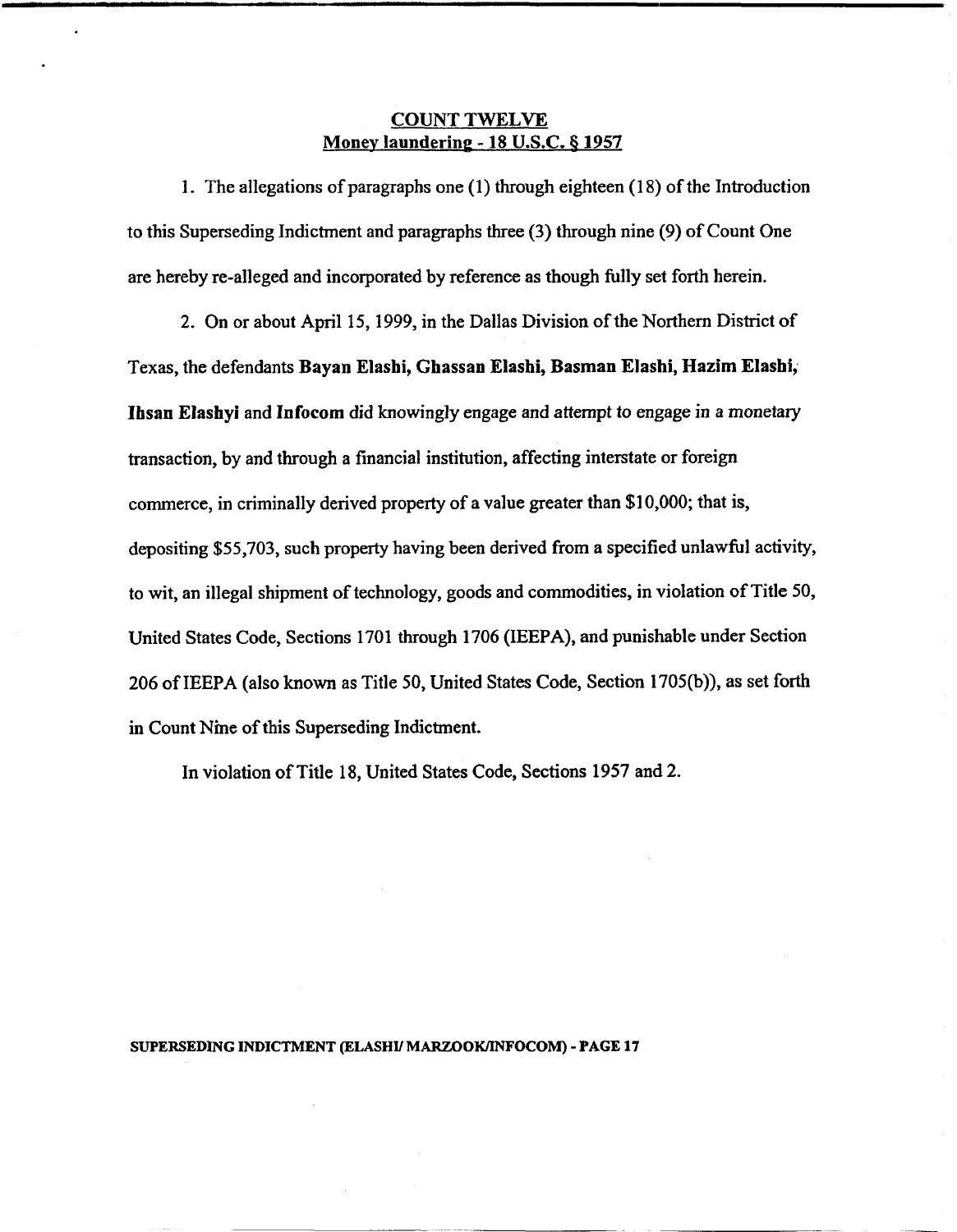### **COUNT TWELVE Money laundering - 18 U.S.C. § 1957**

1. The allegations of paragraphs one (1) through eighteen (1 8) of the Introduction to this Superseding Indictment and paragraphs three (3) through nine (9) of Count One are hereby re-alleged and incorporated by reference as though **fully** set forth herein.

2. On or about April 15, 1999, in the Dallas Division of the Northern District of Texas, the defendants **Bayan Elashi, Ghassan Elashi, Basman Elashi, Hazim Elashi; Ihsan Elashyi** and **Infocom** did knowingly engage and attempt to engage in a monetary transaction, by and through a financial institution, affecting interstate or foreign commerce, in criminally derived property of a value greater than \$1 0,000; that is, depositing \$55,703, such property having been derived from a specified unlawful activity, to wit, an illegal shipment of technology, goods and commodities, in violation of Title 50, United States Code, Sections 1701 through 1706 (IEEPA), and punishable under Section 206 of IEEPA (also known as Title 50, United States Code, Section 1705(b)), as set forth in Count Nine of this Superseding Indictment.

In violation of Title 18, United States Code, Sections 1957 and 2.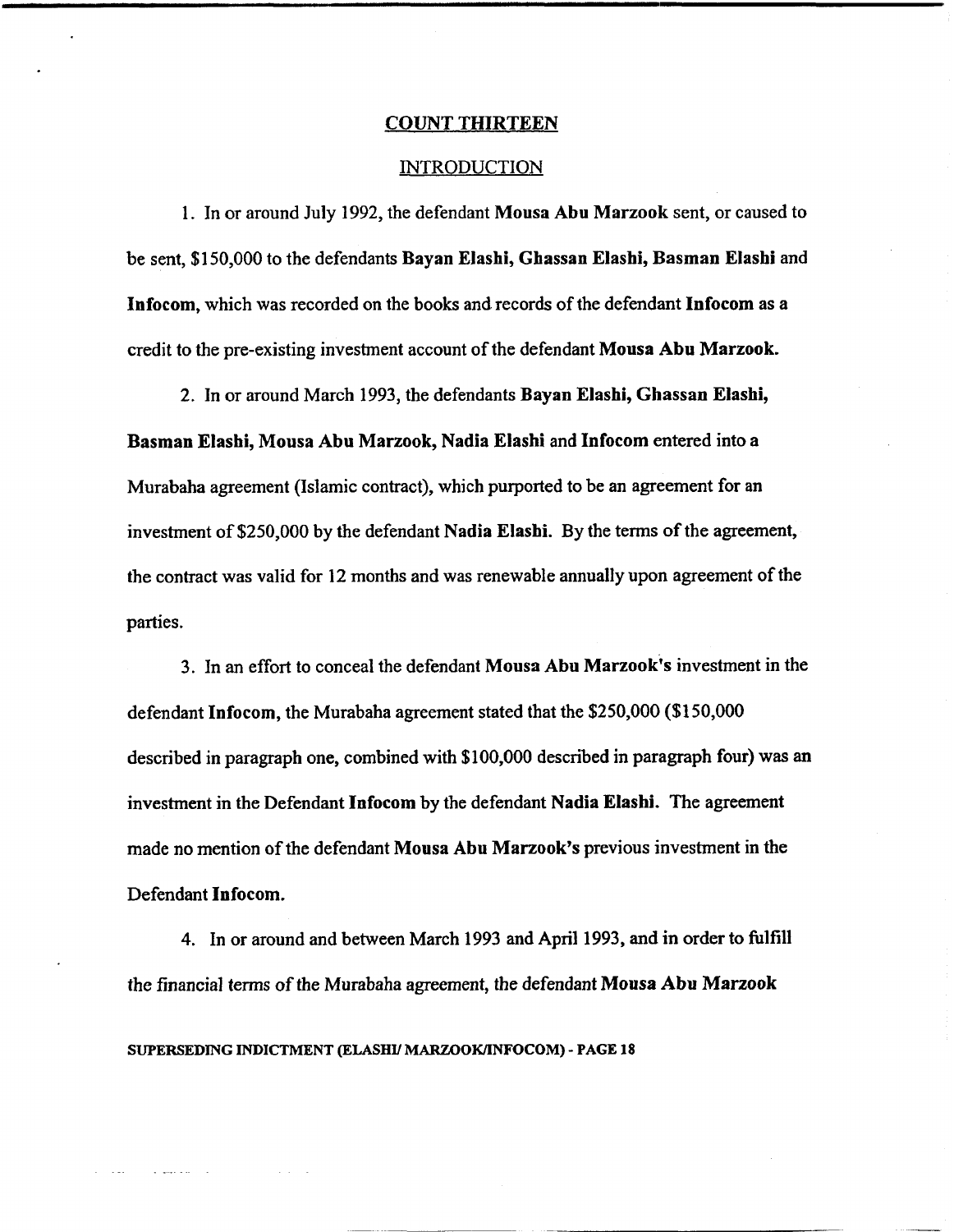#### **COUNT THIRTEEN**

#### INTRODUCTION

1. In or around July 1992, the defendant **Mousa Abu Marzook** sent, or caused to be sent, \$1 50,000 to the defendants **Bayan Elashi, Ghassan Elashi, Basman Elashi** and **Infocom,** which was recorded on the books and records of the defendant **Infocom** as a credit to the pre-existing investment account of the defendant **Mousa Abu Marzook.** 

2. In or around March 1993, the defendants **Bayan Elashi, Ghassan Elashi,** 

**Basman Elashi, Mousa Abu Marzook, Nadia Elashi** and **Infocom** entered into a Murabaha agreement (Islamic contract), which purported to be an agreement for an investment of \$250,000 by the defendant **Nadia Elashi.** By the terms of the agreement, the contract was valid for 12 months and was renewable annually upon agreement of the parties.

3. In an effort to conceal the defendant **Mousa** Abu **Marzook's** investment in the defendant **Infocom,** the Murabaha agreement stated that the \$250,000 (\$1 50,000 described in paragraph one, combined with \$100,000 described in paragraph four) was an investment in the Defendant **Infocom** by the defendant **Nadia Elashi.** The agreement made no mention of the defendant Mousa Abu Marzook's previous investment in the Defendant **Infocom.** 

4. In or around and between March 1993 and April 1993, and in order to fulfill the financial terms of the Murabaha agreement, the defendant **Mousa Abu Marzook**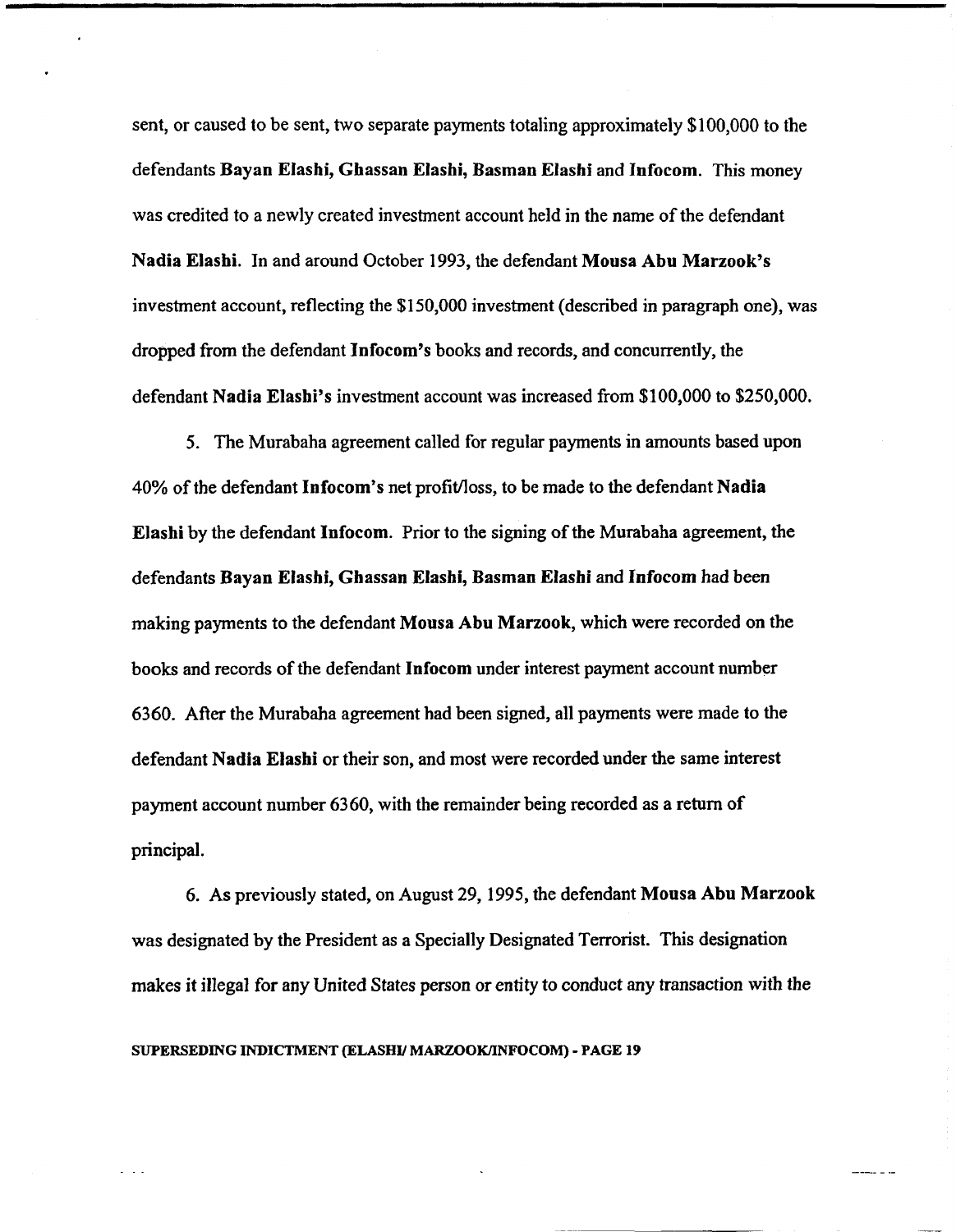sent, or caused to be sent, two separate payments totaling approximately \$100,000 to the defendants **Bayan Elashi, Ghassan Elashi, Basman Elashi** and **Infocom.** This money was credited to a newly created investment account held in the name of the defendant **Nadia Elashi.** In and around October 1993, the defendant **Mousa Abu Marzook's**  investment account, reflecting the \$1 50,000 investment (described in paragraph one), was dropped from the defendant **Infocom's** books and records, and concurrently, the defendant **Nadia Elashi's** investment account was increased from \$100,000 to \$250,000.

5. The Murabaha agreement called for regular payments in amounts based upon 40% of the defendant **Infocom's** net profitfloss, to be made to the defendant **Nadia Elashi** by the defendant **Infocom.** Prior to the signing of the Murabaha agreement, the defendants **Bayan Elashi, Ghassan Elashi, Basman Elashi** and **Infocom** had been making payments to the defendant **Mousa Abu Marzook,** which were recorded on the books and records of the defendant **lnfocom** under interest payment account number 6360. After the Murabaha agreement had been signed, all payments were made to the defendant **Nadia Elashi** or their son, and most were recorded under the same interest payment account number 6360, with the remainder being recorded as a return of principal.

6. As previously stated, on August 29, 1995, the defendant **Mousa Abu Marzook**  was designated by the President as a Specially Designated Terrorist. This designation makes it illegal for any United States person or entity to conduct any transaction with the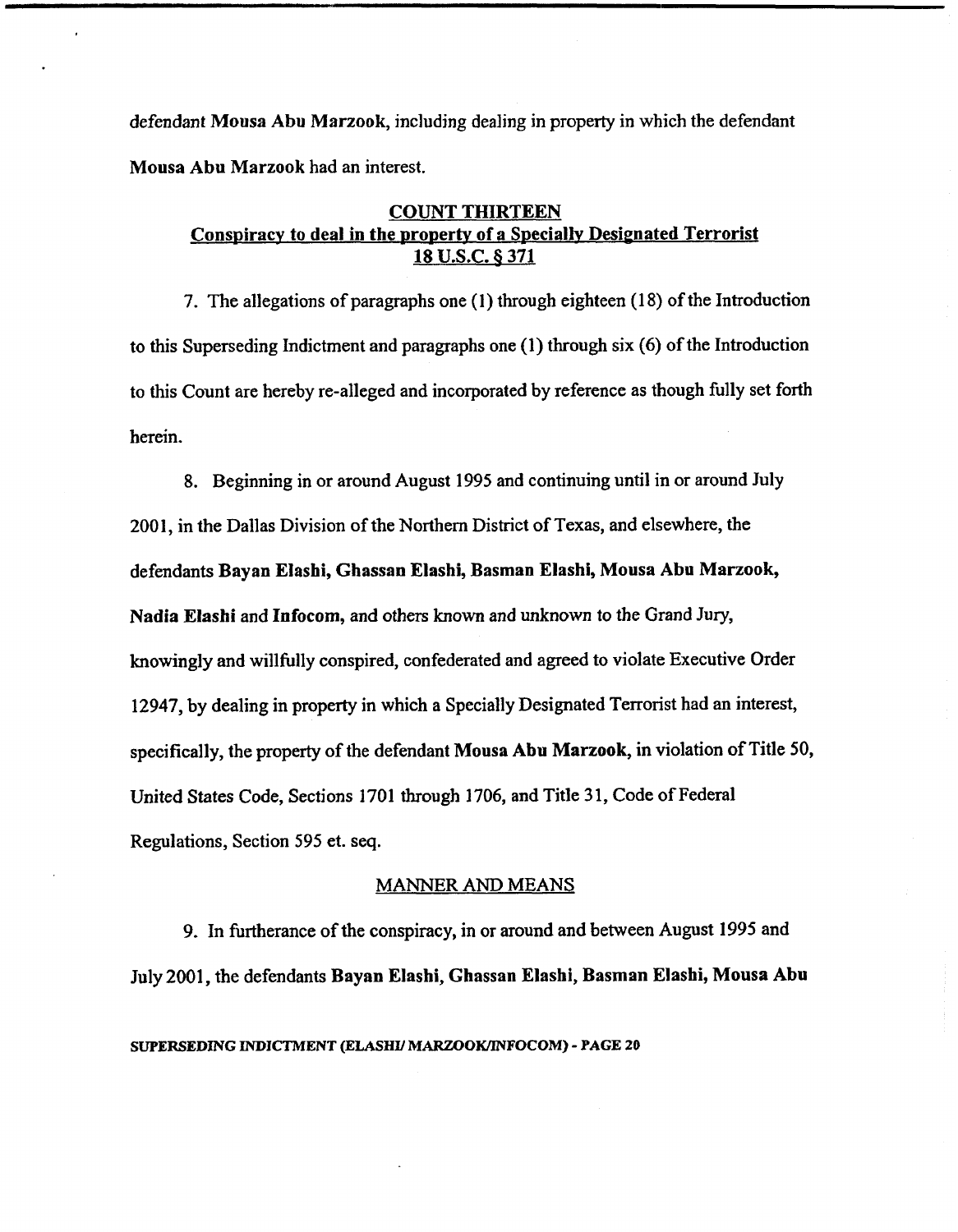defendant **Mousa** Abu **Marzook,** including dealing in property in which the defendant **Mousa Abu Marzook** had an interest.

## **COUNT THIRTEEN Conspiracy to deal in the property of a Specially Designated Terrorist 18 U.S.C. 6 371**

7. The allegations of paragraphs one (1) through eighteen (18) of the Introduction to this Superseding Indictment and paragraphs one (1) through six (6) of the Introduction to this Count are hereby re-alleged and incorporated by reference as though fully set forth herein.

8. Beginning in or around August 1995 and continuing until in or around July 2001, in the Dallas Division of the Northern District of Texas, and elsewhere, the defendants **Bayan Elashi, Ghassan Elashi, Basman Elashi, Mousa Abu Marzook, Nadia Elashi** and **Infocom,** and others known and unknown to the Grand Jury, knowingly and willfully conspired, confederated and agreed to violate Executive Order 12947, by dealing in property in which a Specially Designated Terrorist had an interest, specifically, the property of the defendant **Mousa** Abu **Marzook,** in violation of Title 50, United States Code, Sections 1701 through 1706, and Title 3 1, Code of Federal Regulations, Section 595 et. seq.

## **MANNER AND MEANS**

9. In furtherance of the conspiracy, in or around and between August 1995 and July 2001, the defendants **Bayan Elashi, Ghassan Elashi, Basman Elashi, Mousa Abu**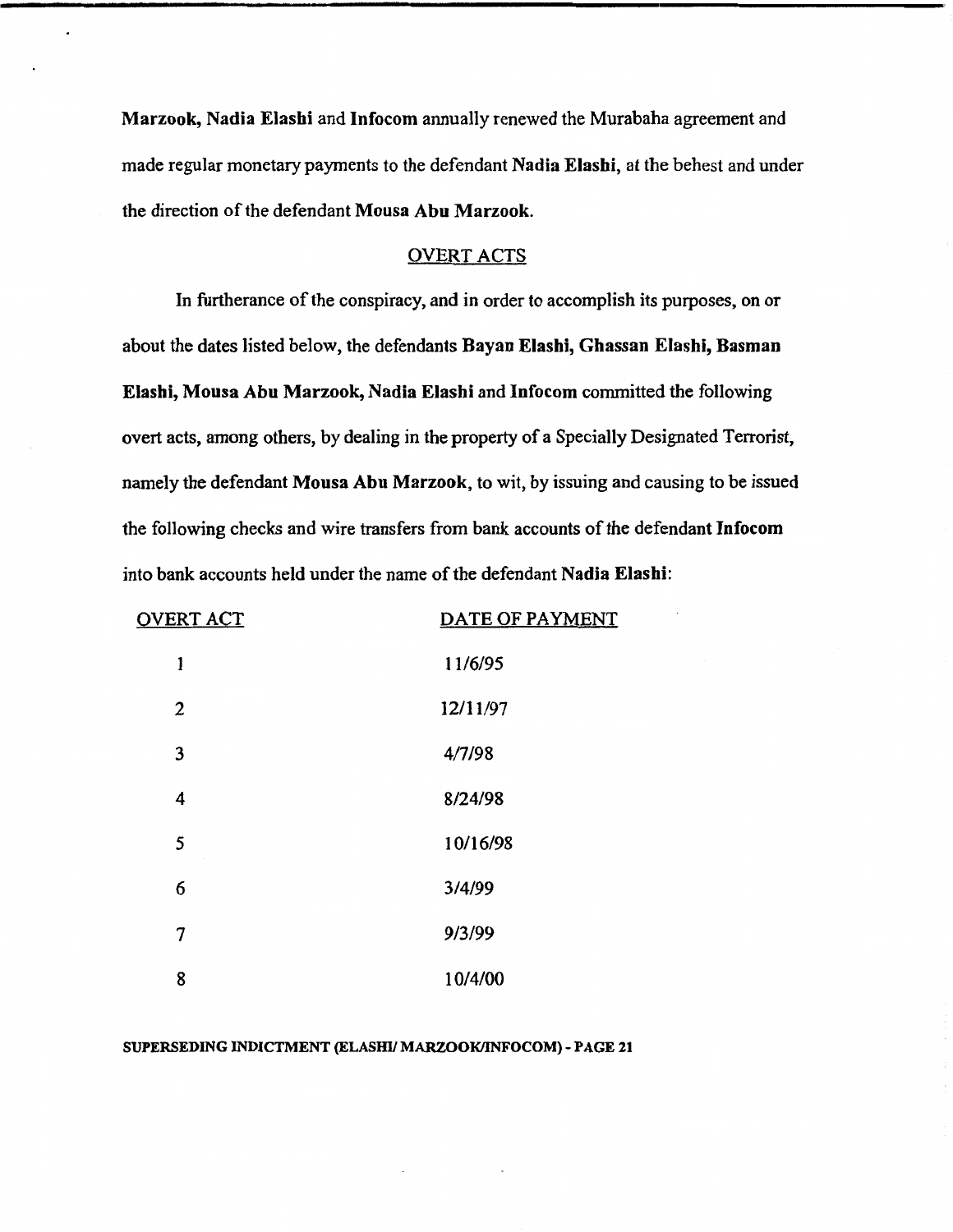**Marzook, Nadia Elashi** and **Infocom** annually renewed the Murabaha agreement and made regular monetary payments to the defendant **Nadia Elashi,** at the behest and under the direction of the defendant **Mousa Abu Marzook.** 

#### OVERT ACTS

In furtherance of the conspiracy, and in order to accomplish its purposes, on or about the dates listed below, the defendants **Rayan Elashi, Ghassan Elashi, Basman Elashi, Mousa Abu Marzook, Nadia Elashi** and **Infocorn** committed the following overt acts, among others, by dealing in the property of a Specially Designated Terrorist, namely the defendant **Mousa Abu Marzook,** to wit, by issuing and causing to be issued the following checks and wire transfers from bank accounts of the defendant **Infocom**  into bank accounts held under the name of the defendant **Nadia Elashi:** 

| <b>OVERT ACT</b> | DATE OF PAYMENT |
|------------------|-----------------|
| 1                | 11/6/95         |
| 2                | 12/11/97        |
| 3                | 4/7/98          |
| 4                | 8/24/98         |
| 5                | 10/16/98        |
| 6                | 3/4/99          |
| 7                | 9/3/99          |
| 8                | 10/4/00         |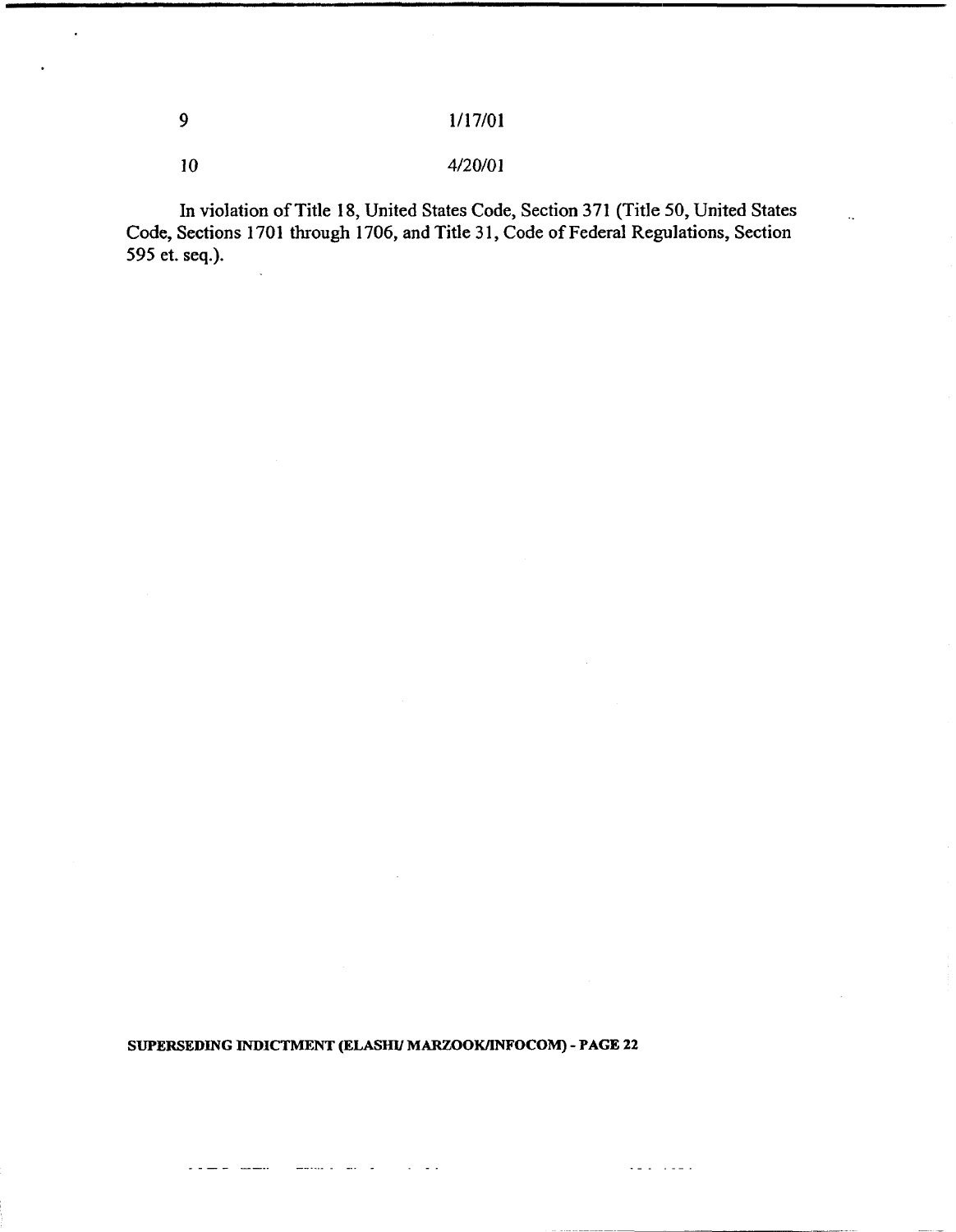## 4/20/01

 $\overline{9}$ 

 $10$ 

**In violation of Title 18, United States Code, Section 371 (Title 50, United States Code, Sections 1701 through 1706, and Title 3 1, Code of Federal Regulations, Section 595 et. seq.).** 

**SUPERSEDING INDICTMENT (ELASHV MARZOOKANFOCOM)** - **PAGE 22** 

 $\omega_{\rm{eff}}$  and  $\omega_{\rm{eff}}$ 

 $\mathbb{Z} \cup \mathbb{Z}$  . The set of  $\mathbb{Z}$ 

 $\frac{1}{2}$  . The contract of  $\frac{1}{2}$ 

. . .. . .......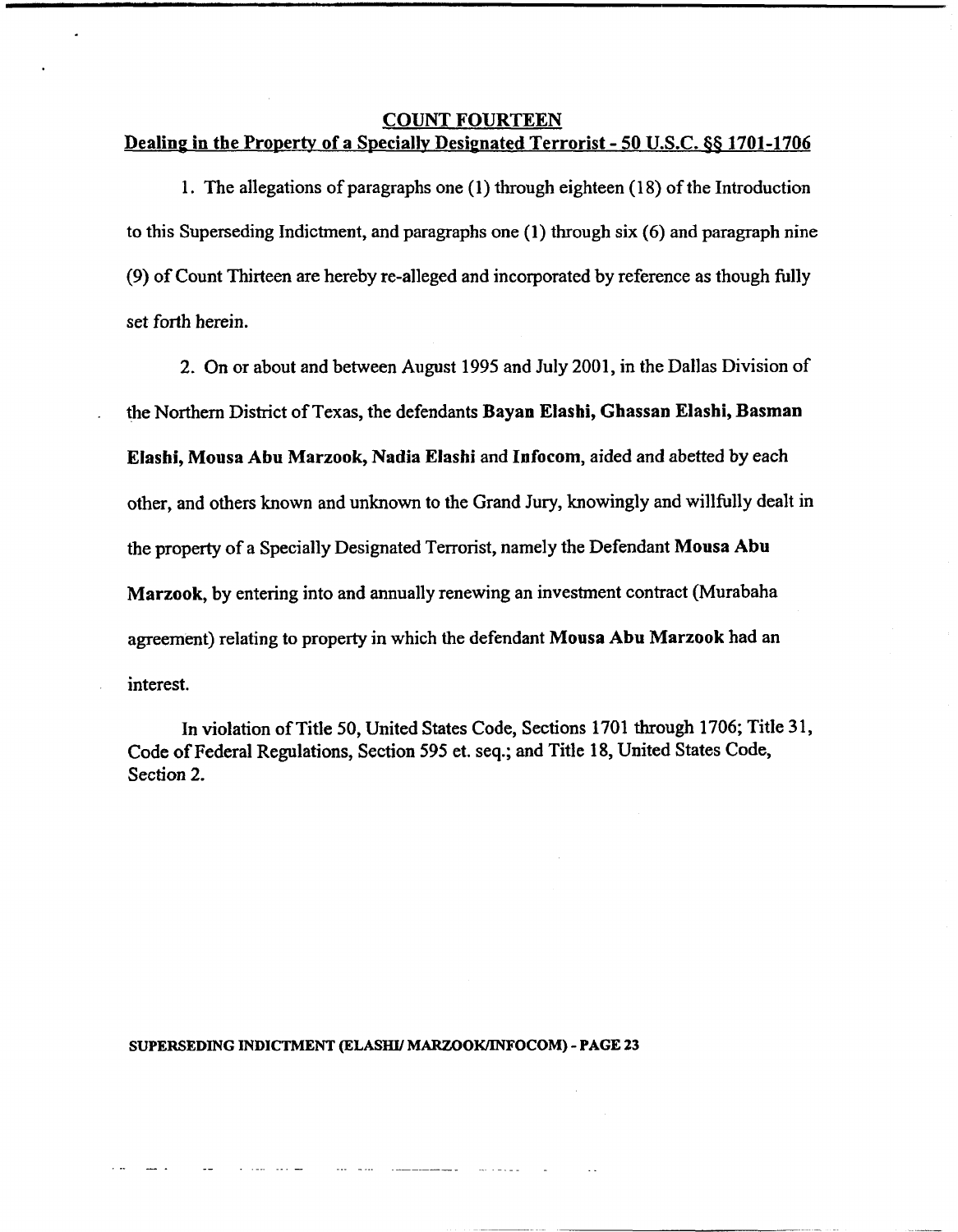#### COUNT FOURTEEN

## Dealinp in the Property of a Speciallv Desimated Terrorist - 50 U.S.C. **66** 1701-1706

1. The allegations of paragraphs one (1) through eighteen (1 8) of the Introduction to this Superseding Indictment, and paragraphs one (1) through six (6) and paragraph nine  $(9)$  of Count Thirteen are hereby re-alleged and incorporated by reference as though fully set forth herein.

2. On or about and between August 1995 and July 2001, in the Dallas Division of . the Northern District of Texas, the defendants Bayan Elashi, Ghassan Elashi, Basman Elashi, Mousa Abu Marzook, Nadia Elashi and Infocom, aided and abetted by each other, and others known and unknown to the Grand Jury, knowingly and willfully dealt in the property of a Specially Designated Terrorist, namely the Defendant Mousa Abu Marzook, by entering into and annually renewing an investment contract (Murabaha agreement) relating to property in which the defendant Mousa Abu Marzook had an interest.

In violation of Title 50, United States Code, Sections 1701 through 1706; Title 31, Code of Federal Regulations, Section 595 et. seq.; and Title 18, United States Code, Section 2.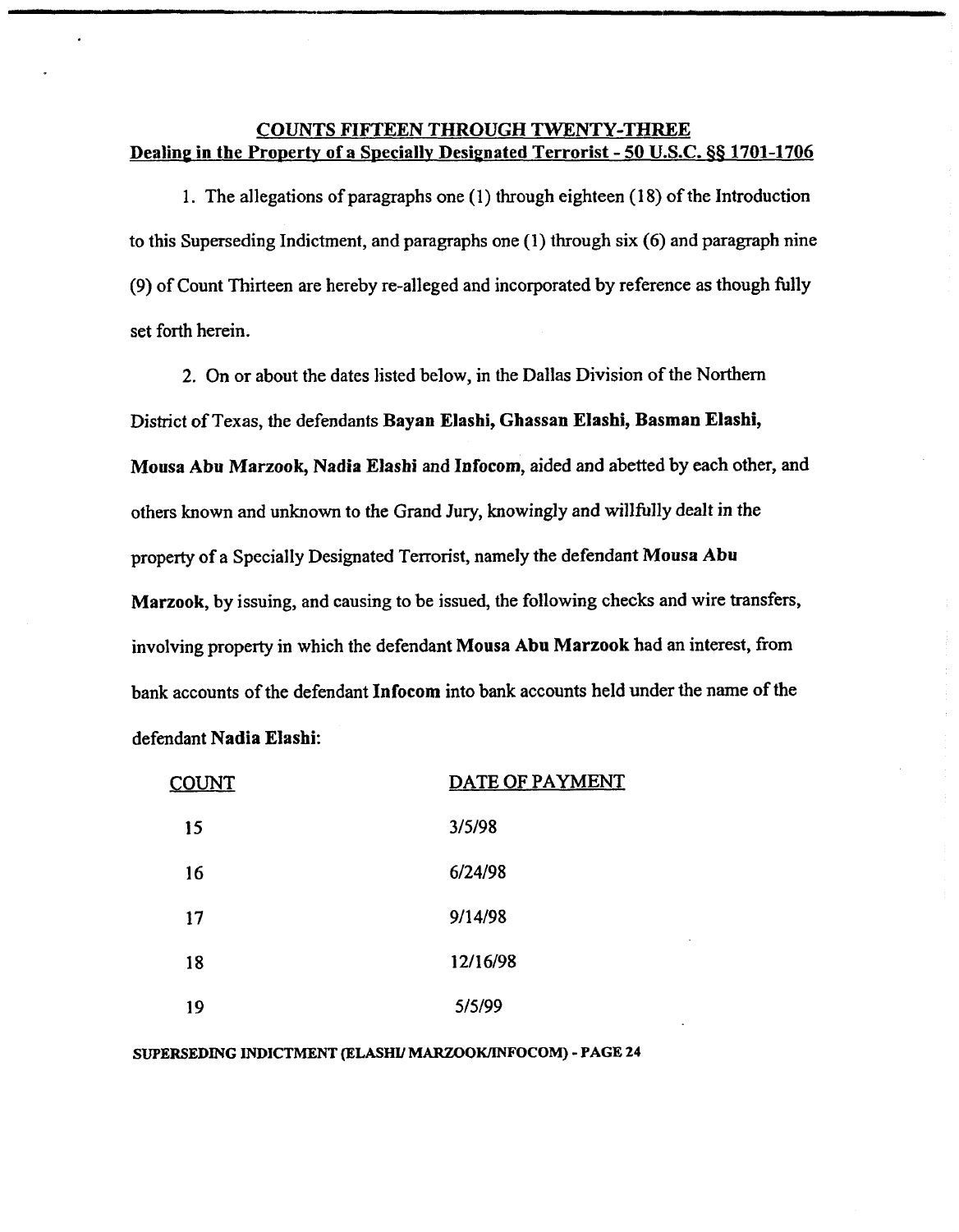## **COUNTS FIFTEEN THROUGH TWENTY-THREE**  Dealing in the Property of a Specially Designated Terrorist - 50 U.S.C. 88 1701-1706

**1.** The allegations of paragraphs one (1) through eighteen **(1** 8) of the Introduction to this Superseding Indictment, and paragraphs one **(1)** through six **(6)** and paragraph nine (9) of Count Thirteen are hereby re-alleged and incorporated by reference as though hlly set forth herein.

2. On or about the dates listed below, in the Dallas Division of the Northern District of Texas, the defendants **Bayan Elashi, Ghassan Elashi, Basman Elashi, Mousa Abu Marzook, Nadia Elashi** and Infocom, aided and abetted by each other, and others known and unknown to the Grand Jury, knowingly and willfully dealt in the property of a Specially Designated Terrorist, namely the defendant **Mousa** Abu **Marzook,** by issuing, and causing to be issued, the following checks and wire transfers, involving property in which the defendant **Mousa** Abu **Marzook** had an interest, from bank accounts of the defendant **Infocom** into bank accounts held under the name of the defendant **Nadia Elashi:** 

| <u>COUNT</u> | DATE OF PAYMENT |  |  |
|--------------|-----------------|--|--|
| 15           | 3/5/98          |  |  |
| 16           | 6/24/98         |  |  |
| 17           | 9/14/98         |  |  |
| 18           | 12/16/98        |  |  |
| 19           | 5/5/99          |  |  |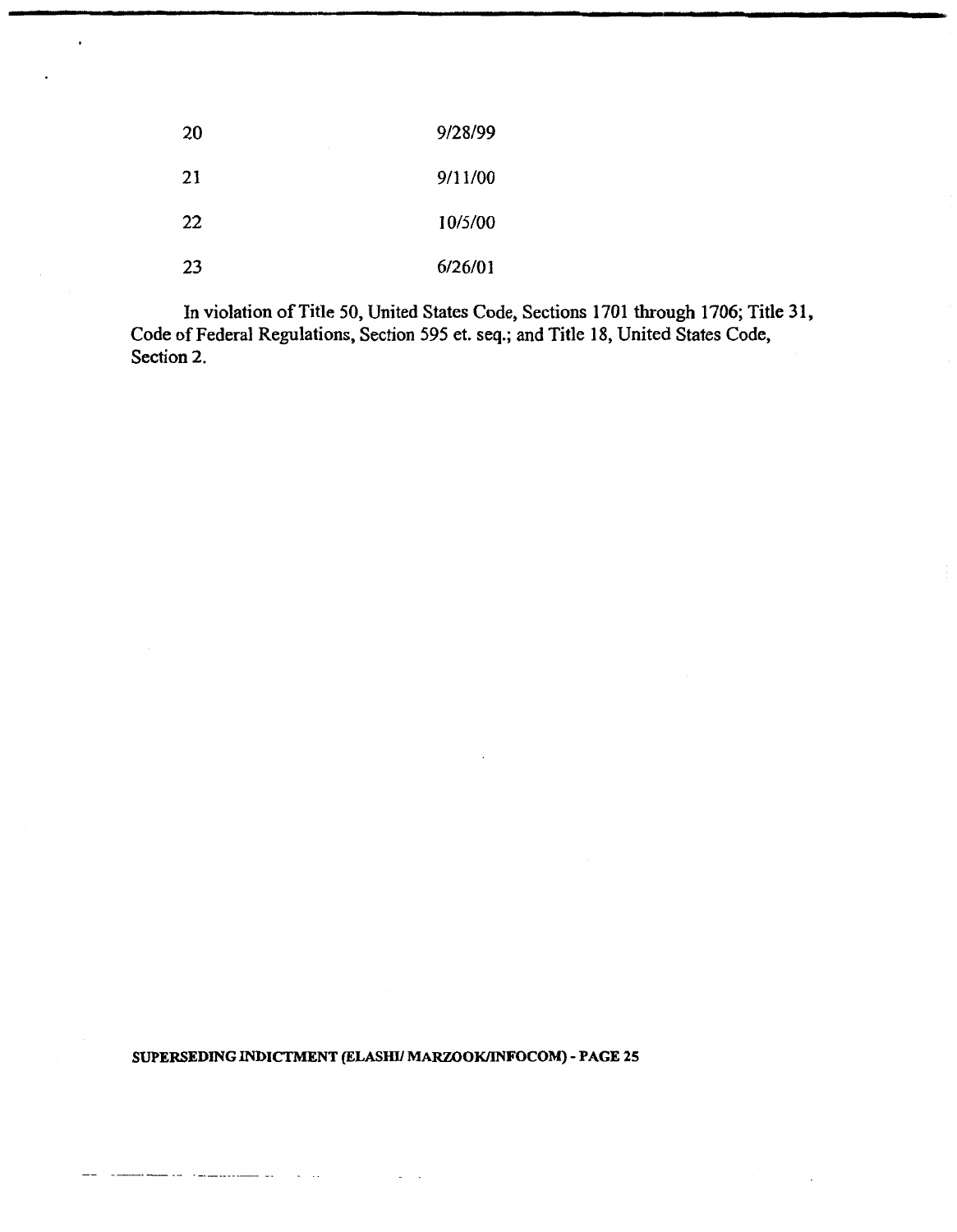| 20 | 9/28/99 |
|----|---------|
| 21 | 9/11/00 |
| 22 | 10/5/00 |
| 23 | 6/26/01 |

**In violation of Title 50, United States Code, Sections 1701 through 1706; Title 3 1, Code of Federal Regulations, Section 595 et. seq.; and Title 18, United States Code, Section 2.** 

## **SUPERSEDING INDICTMENT (ELASHU MARZOOWINFOCOM)** - **PAGE 25**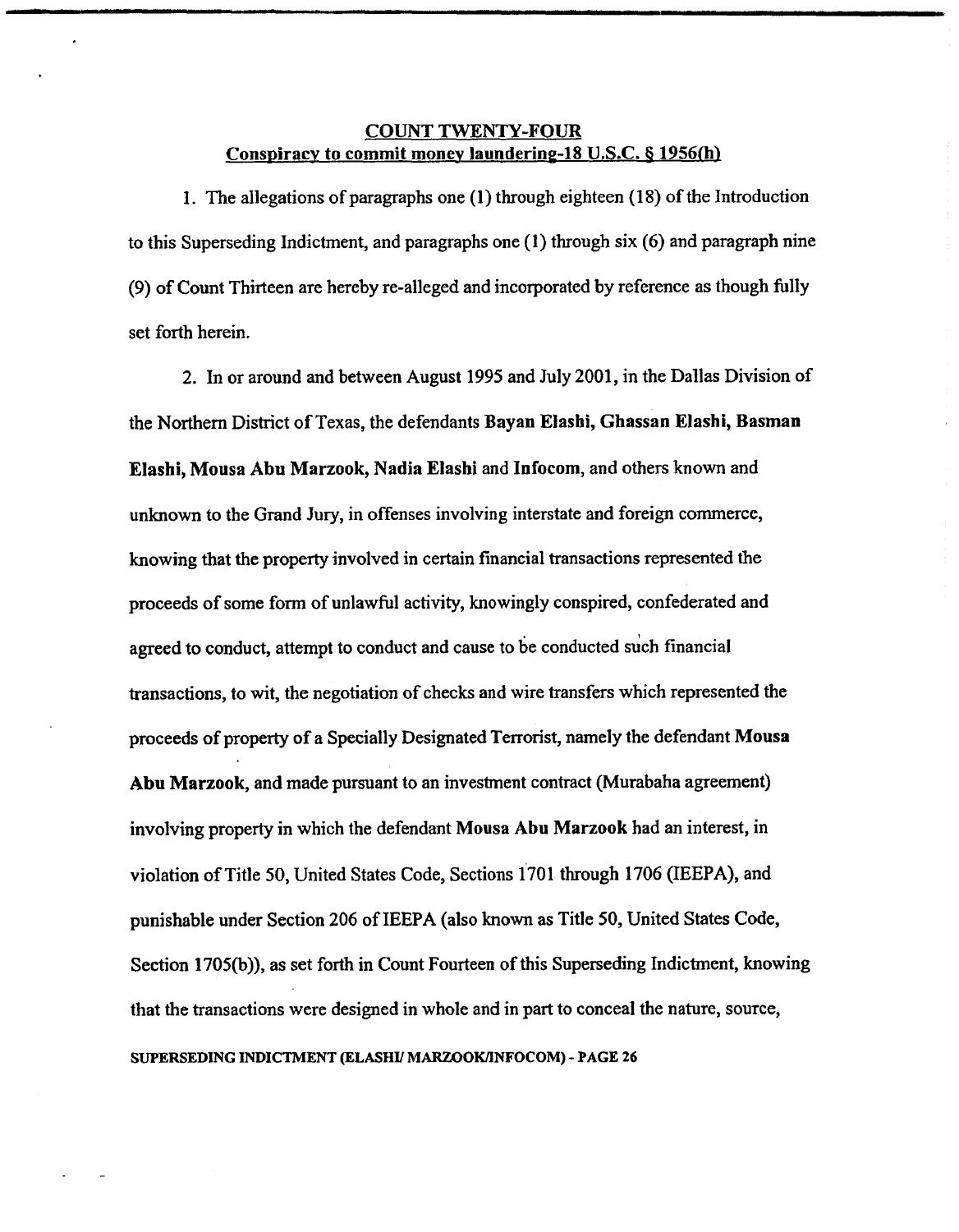## **COUNT TWENTY-FOUR**  Conspiracy to commit money laundering-18 U.S.C. § 1956(h)

1. The allegations of paragraphs one **(I)** through eighteen (1 8) of the Introduction to this Superseding Indictment, and paragraphs one (1) through six (6) and paragraph nine (9) of Count Thirteen are hereby re-alleged and incorporated by reference as though fully set forth herein.

2. In or around and between August 1995 and July 2001, in the Dallas Division of the Northern District of Texas, the defendants Bayan Elashi, Ghassan Elashi, Basman Elashi, Mousa Abu Marzook, Nadia Elashi and Infocom, and others known and unknown to the Grand Jury, in offenses involving interstate and foreign commerce, knowing that the property involved in certain financial transactions represented the proceeds of some form of unlawful activity, knowingly conspired, confederated and agreed to conduct, attempt to conduct and cause to be conducted such financial transactions, to wit, the negotiation of checks and wire transfers which represented the proceeds of property of a Specially Designated Terrorist, namely the defendant Mousa Abu Marzook, and made pursuant to an investment contract (Murabaha agreement) involving property in which the defendant Mousa Abu Marzook had an interest, in violation of Title 50, United States Code, Sections 1'701 through 1706 (IEEPA), and punishable under Section 206 of IEEPA (also known as Title 50, United States Code, Section 1705(b)), as set forth in Count Fourteen of this Superseding Indictment, knowing that the transactions were designed in whole and in part to conceal the nature, source, **SUPERSEDING INDICTMENT (ELASHU MARZOOWINFOCOM)** - **PAGE 26**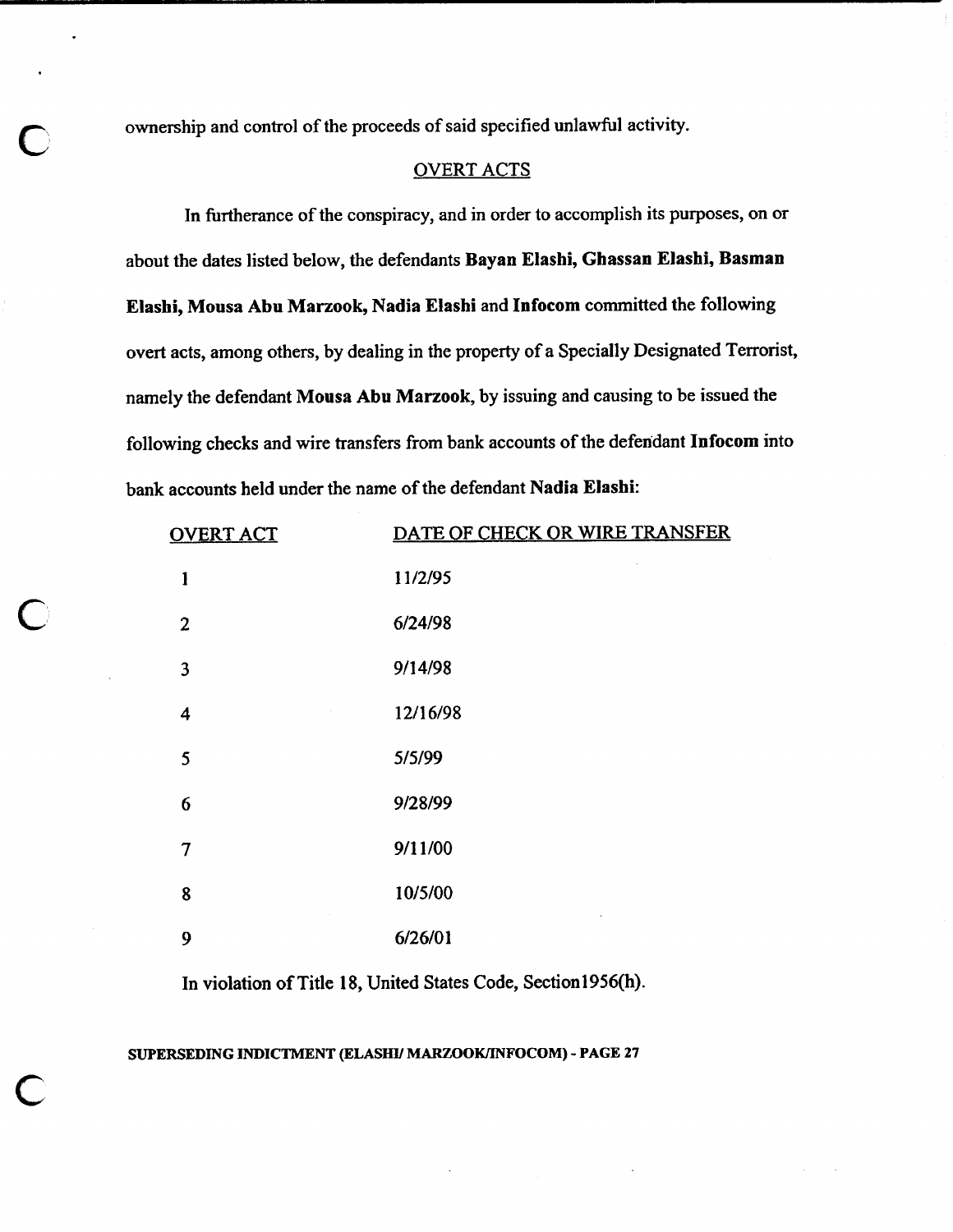**C** ownership and control of the proceeds of said specified unlawful activity.

### OVERT ACTS

In furtherance of the conspiracy, and in order to accomplish its purposes, on or about the dates listed below, the defendants **Bayan Elashi, Ghassan Elashi, Basman Elashi, Mousa Abu Marzook, Nadia Elashi** and **Infocom** committed the following overt acts, among others, by dealing in the property of a Specially Designated Terrorist, namely the defendant Mousa Abu Marzook, by issuing and causing to be issued the following checks and wire transfers from bank accounts of the defendant **Infocom** into bank accounts held under the name of the defendant **Nadia Elasbi:** 

| <b>OVERT ACT</b> | DATE OF CHECK OR WIRE TRANSFER |
|------------------|--------------------------------|
| $\mathbf{I}$     | 11/2/95                        |
| $\mathbf{2}$     | 6/24/98                        |
| 3                | 9/14/98                        |
| 4                | 12/16/98                       |
| 5                | 5/5/99                         |
| 6                | 9/28/99                        |
| $\overline{7}$   | 9/11/00                        |
| 8                | 10/5/00                        |
| 9                | 6/26/01                        |

In violation of Title **18,** United States Code, Sectionl956(h).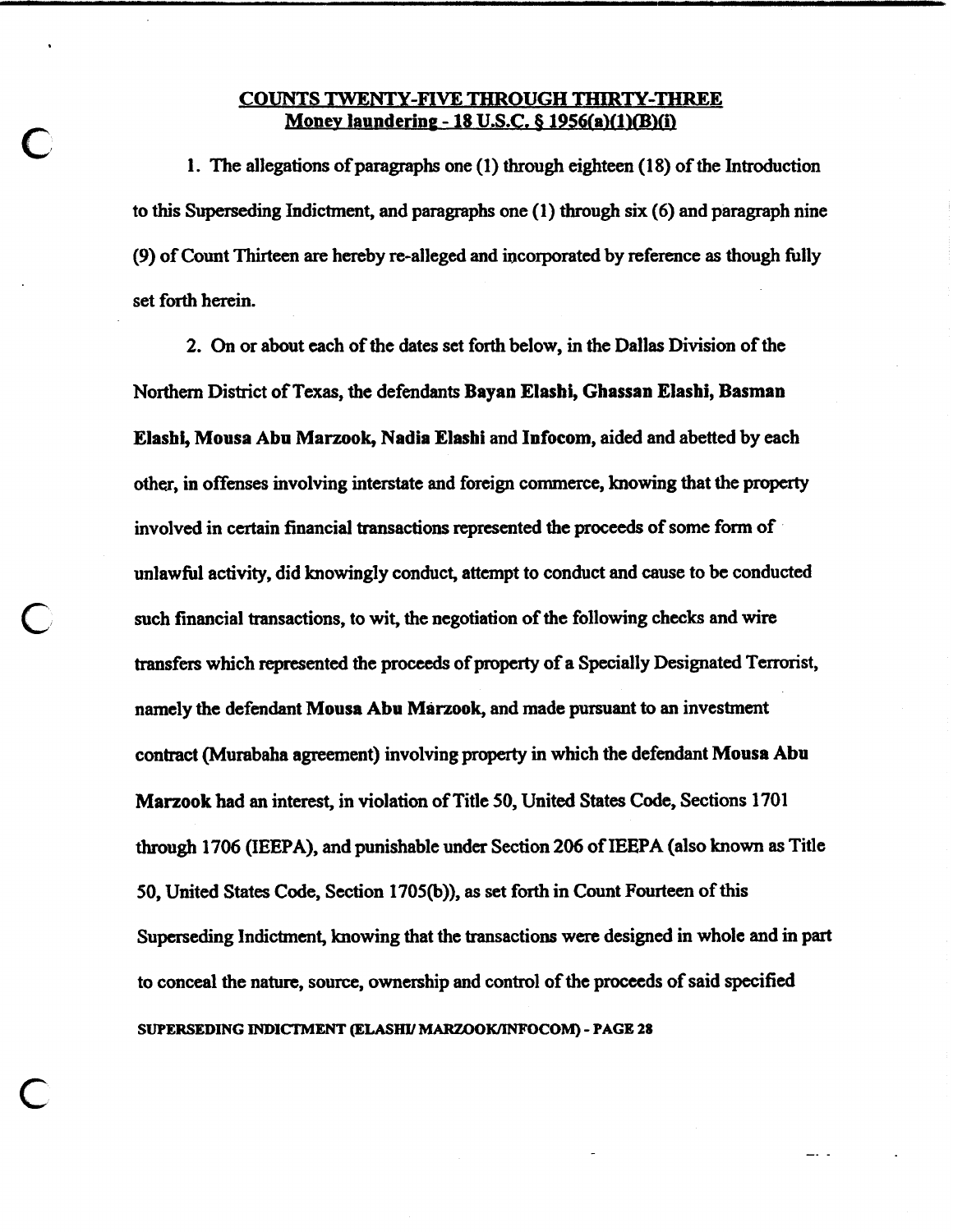### **COUNTS TWENTY-FIVE THROUGH THIRTY-THREE Money laundering - 18 U.S.C. § 1956(a)(1)(B)(i)**

1. The allegations of paragraphs one (1) through eighteen (1 8) of the Introduction to this Superseding Indictment, and paragraphs one (1) through six (6) and paragraph nine (9) of Count Thirteen are hereby re-alleged and incorporated by reference **as** though fully set forth herein.

2. **On** or about each of the dates set forth below, in the Dallas Division of the Northern District of Texas, the defendants **Bayan Elashi, Ghassan Elashi, Basman Elashi, Mousa Abn Marzook, Nadia Elashi** and **Infocom,** aided and abetted by each other, in offenses involving interstate and foreign commerce, knowing that the property involved in certain financial transactions represented the proceeds of some form of unlawfbl activity, did knowingly conduct, attempt to conduct and cause to be conducted such financial transactions, to wit, the negotiation of the following checks and wire transfers which represented the **proceeds** of **property** of a Specially Designated Terrorist, namely the defendant Mousa Abu Marzook, and made pursuant to an investment contract (Murabaha agreement) involving **property** in which the defendant **Mousa Abn Marzook had an interest, in violation of Title 50, United States Code, Sections 1701** through 1706 (IEEPA), and punishable under Section 206 of IEEPA (also known **as** Title 50, United States Code, Section 1705@)), **as** set forth in Count **Fourteen** of this Superseding Indictment, knowing that the transactions were designed in whole and in part to conceal the nature, source, ownership and control of the proceeds of said specified **SUPERSEDING INDICTMENT (ELASHII MARZOOKmJFOCOM)** - **PAGE 28**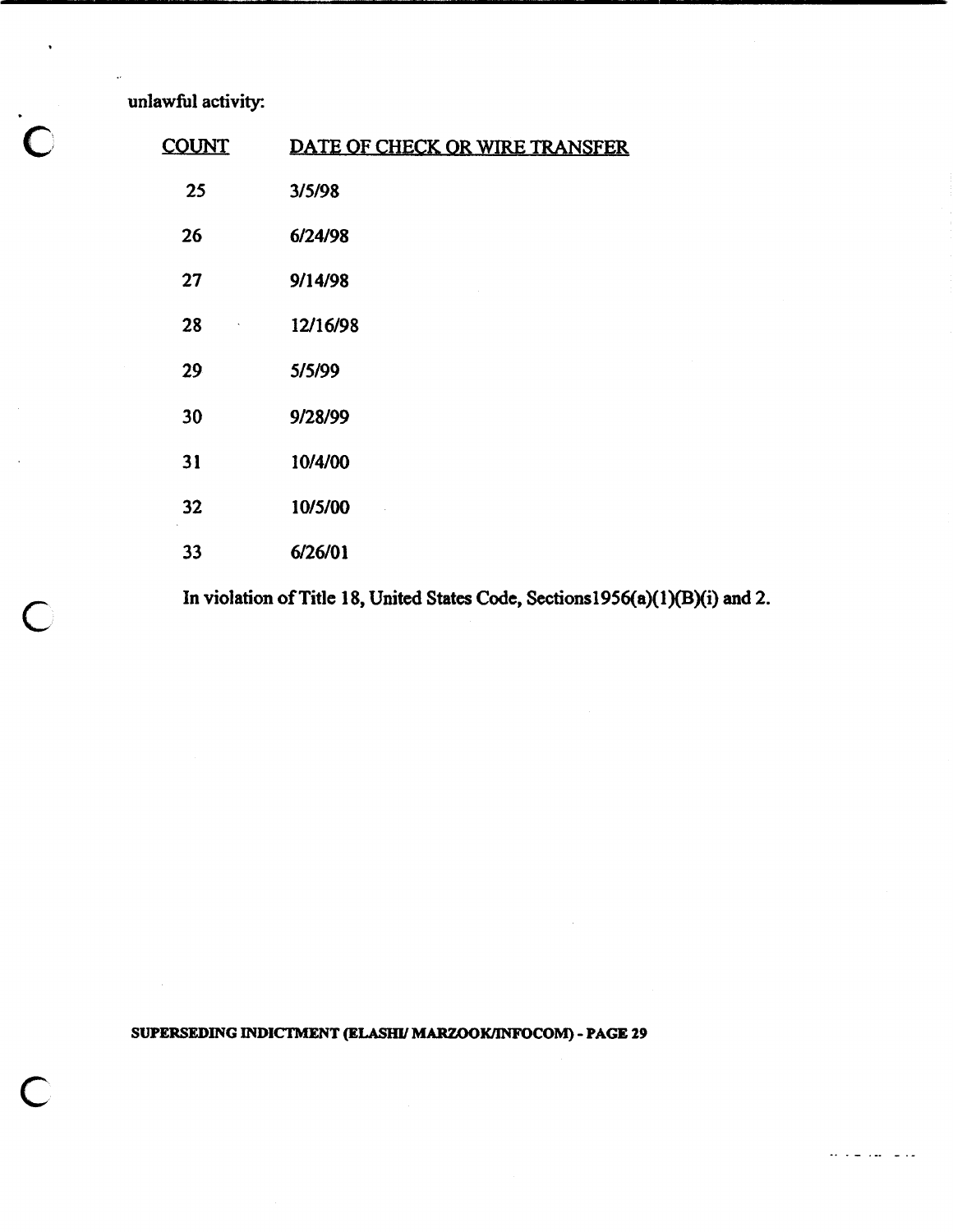**unlawful activity:** 

 $\ddot{\phantom{a}}$ 

| <b>COUNT</b> | DATE OF CHECK OR WIRE TRANSFER |
|--------------|--------------------------------|
| 25           | 3/5/98                         |
| 26           | 6/24/98                        |
| 27           | 9/14/98                        |
| 28           | 12/16/98                       |
| 29           | 5/5/99                         |
| 30           | 9/28/99                        |
| 31           | 10/4/00                        |
| 32           | 10/5/00                        |
| 33           | 6/26/01                        |

In violation of Title 18, United States Code, Sections1956(a)(1)(B)(i) and 2.

**SUPERSEDING INDICTMENT (ELASHI/ MARZOOK/INFOCOM) - PAGE 29** 

للديا سايدانية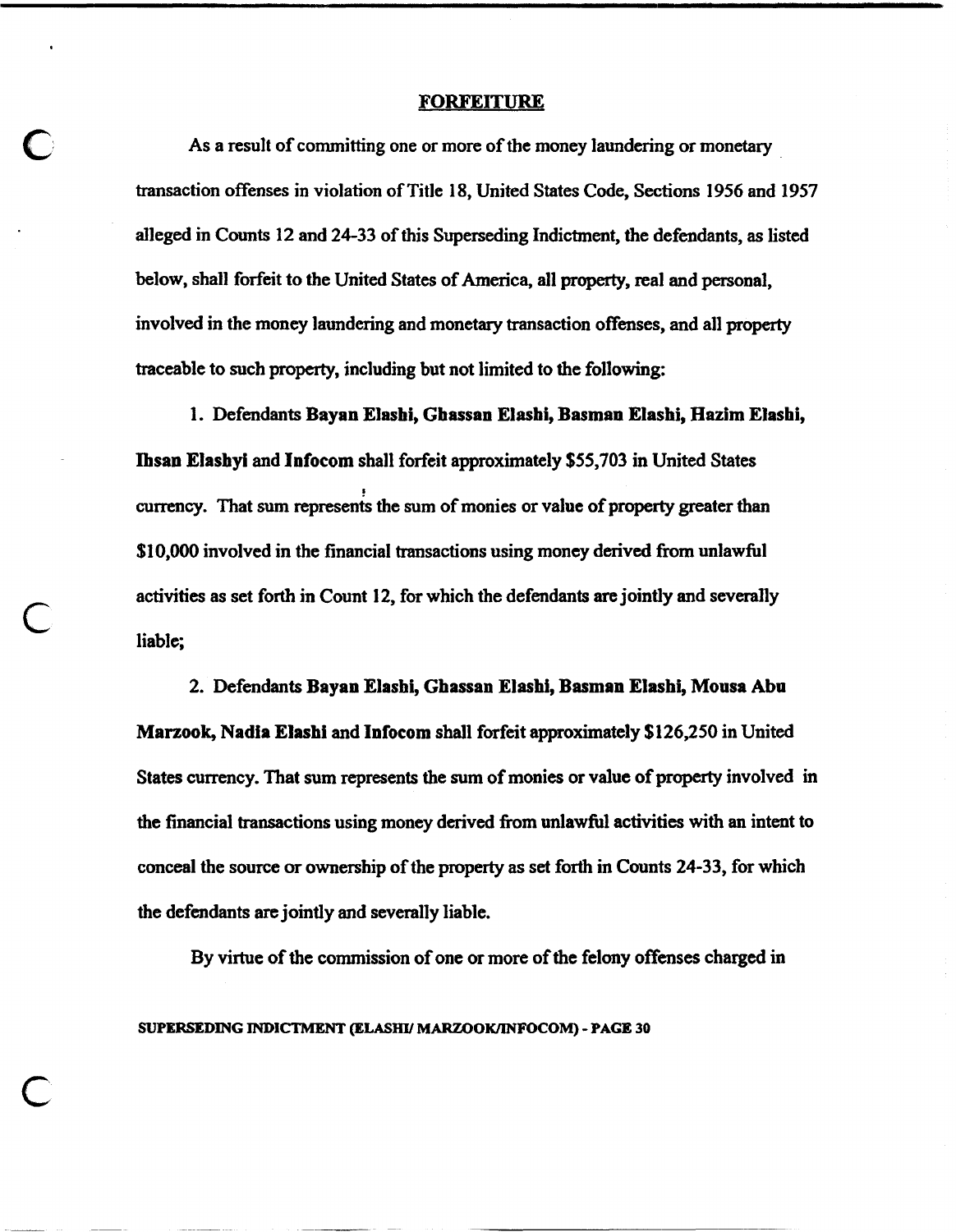#### **FORFEITURE**

As a result of committing one or more of the money laundering or monetary transaction offenses in violation of Title 18, United States Code, Sections 1956 and 1957 alleged in Counts 12 and 24-33 of this Superseding Indictment, the defendants, as listed below, shall forfeit to the United States of America, all property, real and personal, involved in the money laundering and monetary transaction offmses, and all property traceable to such property, including but not limited to the following:

1. Defendants **Bayan Elashi, Ghassan Elasbi, Basman Elashi, Hazlm Elasbi, Ihsan Elashyi** and **Infocom** shall forfeit approximately \$55,703 in United States !<br>!<br>. **currency.** That sum **represents** the sum of monies or value of property greater than \$10,000 involved in the financial transactions using money derived **from** unlawful activities as set forth in Count 12, for which the defendants are jointly and severally liable;

2. Defendants **Bayan Elashi, Gbassan Elashi, Basman Elashi, Mousa Abn Marzook, Nadia Elashi and Infocom shall forfeit approximately \$126,250 in United** States currency. That sum represents the sum of monies or value of property involved in the financial transactions using money derived **from** unlawhl activities with an intent to conceal the source or ownership of the property as set forth in Counts 24-33, for which the defendants **are** jointly and severally liable.

By virtue of the commission of one or more of the felony offenses charged in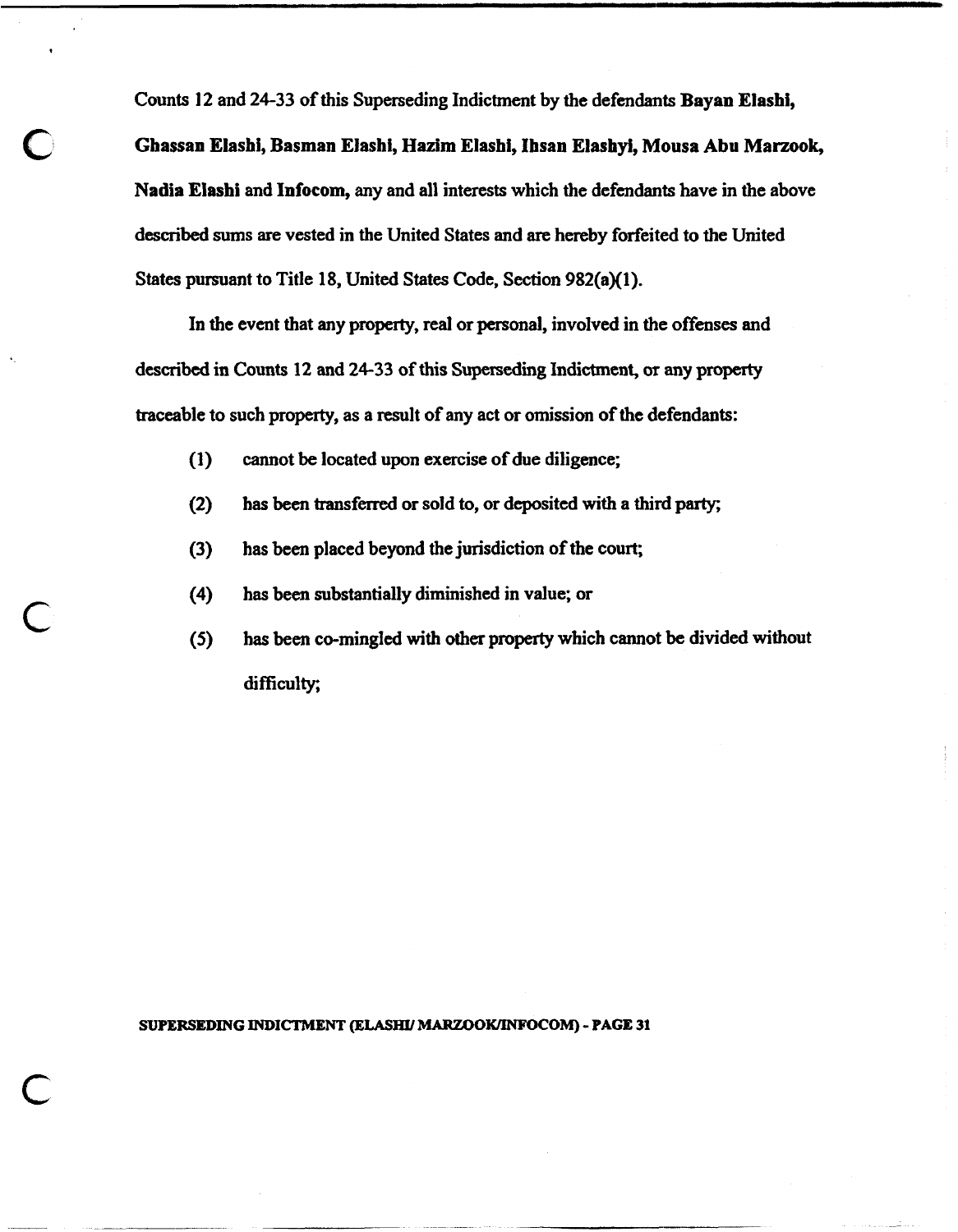Counts 12 and 24-33 of this Superseding Indictment by the defendants **Bayan Elashi,**  Ghassan Elashi, Basman Elashi, Hazim Elashi, Ihsan Elashyi, Mousa Abu Marzook, **Nadia Elashi** and **Infocom, any** and all interests which the defendants have in the above described sums are vested in the United States and **are** hereby forfeited to the United States pursuant to Title 18, United States Code, Section 982(a)(l).

In the event that **any** property, real or personal, involved in the offenses and described in Counts 12 and 24-33 of this Superseding Indictment, or **any** property traceable to such **property,** as a result of any act or omission of the defendants:

- **(1)** cannot be located upon exercise of due diligence;
- **(2)** has been transferred or sold to, or deposited with a third party;
- **(3)** has been placed beyond the jurisdiction of the court;
- **(4)** has been substantially diminished in value; or
- **(5)** has been co-mingled with other property which cannot be divided without difficulty;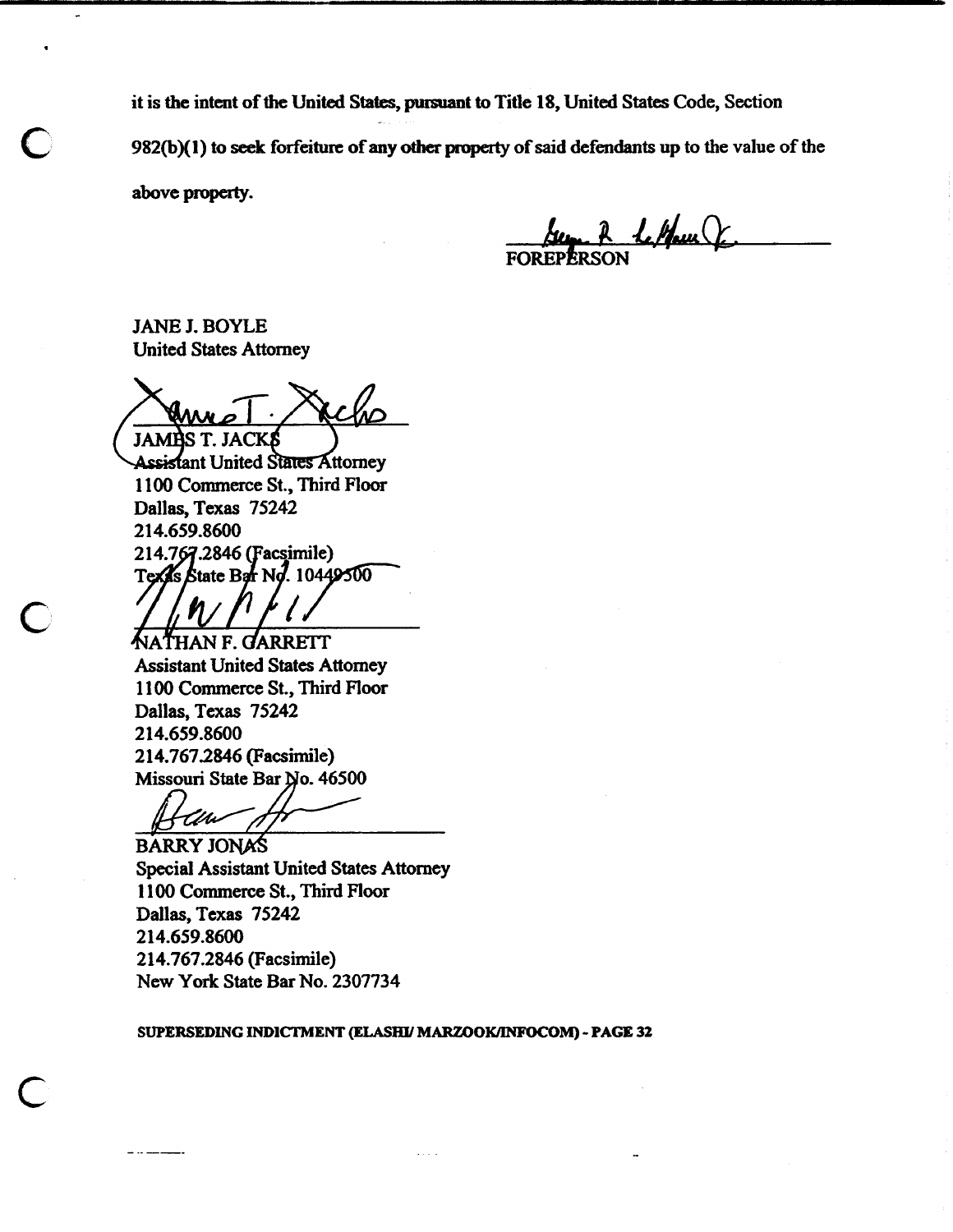it is **the** intent of the United **States,** pursuant to Title **18,** United States Code, Section **982(bXl)** to **seek** forfeiture of any **0th praperty** of said defendants up to the value of the **above pmpeaty.** 

2 lettem

JANE J. BOYLE United States Attorney

**JAMBS T. JACKS** 

**Assistant United States Attorney 1 100** Commerce St., Third Floor Dallas, Texas **75242**  21 **4.659.8600**  Texas State Bar No. 10449500

han f. Garrett Assistant United States Attomey **<sup>11</sup>00** Commerce St., Third Floor Dallas, Texas **75242 2 14.659.8600 2 14.7672846** (Facsimile) Missouri state **Bar So. 46500** 

UM

**BARRY JONAS** Special Assistant United States Attomey **<sup>1</sup>100** Commerce St., Third Floor Dallas, Texas **75242 214.659.8600 214.767.2846** (Facsimile) New York State Bar No. **2307734** 

**SUPERSEDING INDICTMENT** *@LASHY* **MARZOO-M)** - **PAGE 32**